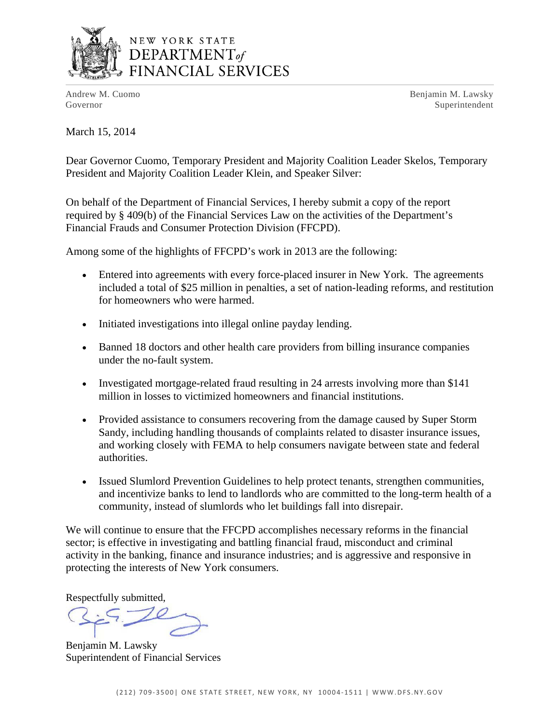

# NEW YORK STATE DEPARTMENT<sub>of</sub> FINANCIAL SERVICES

Andrew M. Cuomo **Benjamin M. Lawsky** Governor Superintendent Superintendent Superintendent Superintendent Superintendent Superintendent Superintendent Superintendent Superintendent Superintendent Superintendent Superintendent Superintendent Superintendent Sup

March 15, 2014

Dear Governor Cuomo, Temporary President and Majority Coalition Leader Skelos, Temporary President and Majority Coalition Leader Klein, and Speaker Silver:

On behalf of the Department of Financial Services, I hereby submit a copy of the report required by § 409(b) of the Financial Services Law on the activities of the Department's Financial Frauds and Consumer Protection Division (FFCPD).

Among some of the highlights of FFCPD's work in 2013 are the following:

- Entered into agreements with every force-placed insurer in New York. The agreements included a total of \$25 million in penalties, a set of nation-leading reforms, and restitution for homeowners who were harmed.
- Initiated investigations into illegal online payday lending.
- Banned 18 doctors and other health care providers from billing insurance companies under the no-fault system.
- Investigated mortgage-related fraud resulting in 24 arrests involving more than \$141 million in losses to victimized homeowners and financial institutions.
- Provided assistance to consumers recovering from the damage caused by Super Storm Sandy, including handling thousands of complaints related to disaster insurance issues, and working closely with FEMA to help consumers navigate between state and federal authorities.
- Issued Slumlord Prevention Guidelines to help protect tenants, strengthen communities, and incentivize banks to lend to landlords who are committed to the long-term health of a community, instead of slumlords who let buildings fall into disrepair.

We will continue to ensure that the FFCPD accomplishes necessary reforms in the financial sector; is effective in investigating and battling financial fraud, misconduct and criminal activity in the banking, finance and insurance industries; and is aggressive and responsive in protecting the interests of New York consumers.

Respectfully submitted,

Benjamin M. Lawsky Superintendent of Financial Services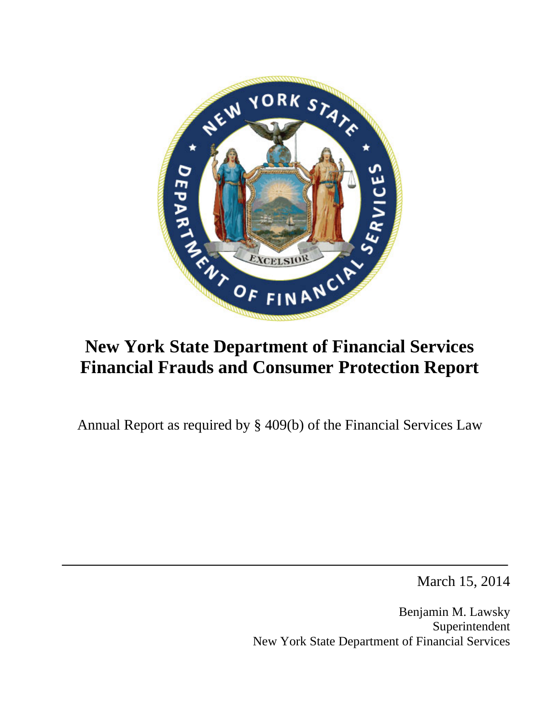

# **New York State Department of Financial Services Financial Frauds and Consumer Protection Report**

Annual Report as required by § 409(b) of the Financial Services Law

March 15, 2014

Benjamin M. Lawsky Superintendent New York State Department of Financial Services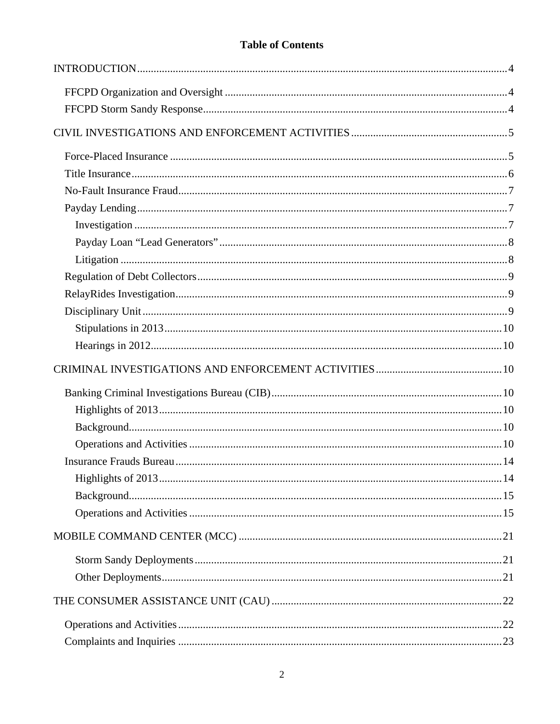# **Table of Contents**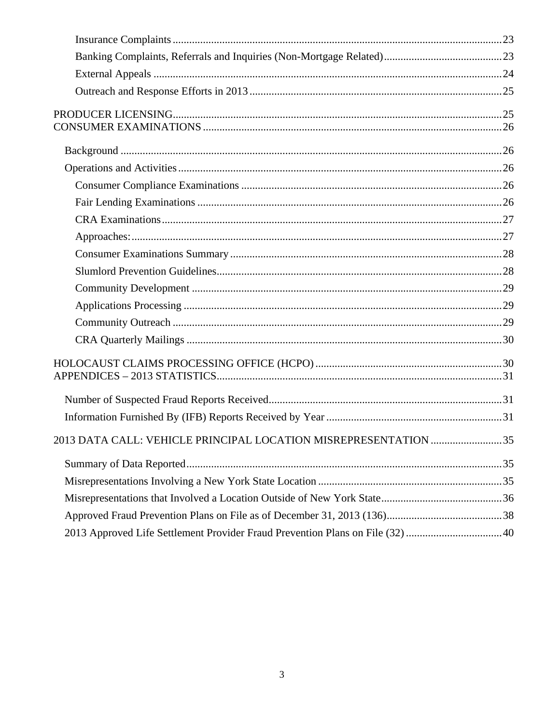| 2013 DATA CALL: VEHICLE PRINCIPAL LOCATION MISREPRESENTATION 35               |  |
|-------------------------------------------------------------------------------|--|
|                                                                               |  |
|                                                                               |  |
|                                                                               |  |
|                                                                               |  |
| 2013 Approved Life Settlement Provider Fraud Prevention Plans on File (32) 40 |  |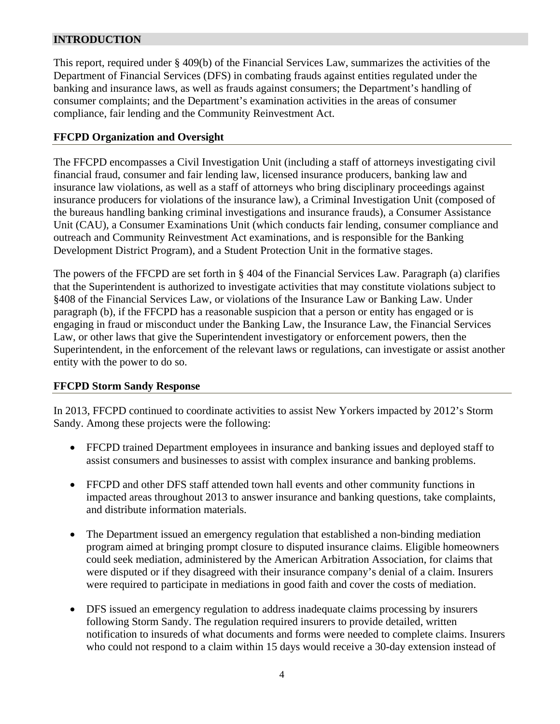# <span id="page-4-0"></span>**INTRODUCTION**

This report, required under § 409(b) of the Financial Services Law, summarizes the activities of the Department of Financial Services (DFS) in combating frauds against entities regulated under the banking and insurance laws, as well as frauds against consumers; the Department's handling of consumer complaints; and the Department's examination activities in the areas of consumer compliance, fair lending and the Community Reinvestment Act.

#### **FFCPD Organization and Oversight**

The FFCPD encompasses a Civil Investigation Unit (including a staff of attorneys investigating civil financial fraud, consumer and fair lending law, licensed insurance producers, banking law and insurance law violations, as well as a staff of attorneys who bring disciplinary proceedings against insurance producers for violations of the insurance law), a Criminal Investigation Unit (composed of the bureaus handling banking criminal investigations and insurance frauds), a Consumer Assistance Unit (CAU), a Consumer Examinations Unit (which conducts fair lending, consumer compliance and outreach and Community Reinvestment Act examinations, and is responsible for the Banking Development District Program), and a Student Protection Unit in the formative stages.

The powers of the FFCPD are set forth in § 404 of the Financial Services Law. Paragraph (a) clarifies that the Superintendent is authorized to investigate activities that may constitute violations subject to §408 of the Financial Services Law, or violations of the Insurance Law or Banking Law. Under paragraph (b), if the FFCPD has a reasonable suspicion that a person or entity has engaged or is engaging in fraud or misconduct under the Banking Law, the Insurance Law, the Financial Services Law, or other laws that give the Superintendent investigatory or enforcement powers, then the Superintendent, in the enforcement of the relevant laws or regulations, can investigate or assist another entity with the power to do so.

#### **FFCPD Storm Sandy Response**

In 2013, FFCPD continued to coordinate activities to assist New Yorkers impacted by 2012's Storm Sandy. Among these projects were the following:

- FFCPD trained Department employees in insurance and banking issues and deployed staff to assist consumers and businesses to assist with complex insurance and banking problems.
- FFCPD and other DFS staff attended town hall events and other community functions in impacted areas throughout 2013 to answer insurance and banking questions, take complaints, and distribute information materials.
- The Department issued an emergency regulation that established a non-binding mediation program aimed at bringing prompt closure to disputed insurance claims. Eligible homeowners could seek mediation, administered by the American Arbitration Association, for claims that were disputed or if they disagreed with their insurance company's denial of a claim. Insurers were required to participate in mediations in good faith and cover the costs of mediation.
- DFS issued an emergency regulation to address inadequate claims processing by insurers following Storm Sandy. The regulation required insurers to provide detailed, written notification to insureds of what documents and forms were needed to complete claims. Insurers who could not respond to a claim within 15 days would receive a 30-day extension instead of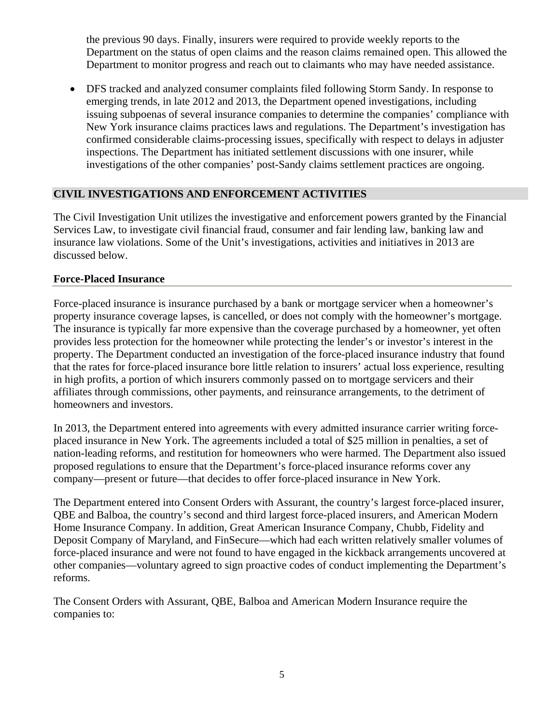<span id="page-5-0"></span>the previous 90 days. Finally, insurers were required to provide weekly reports to the Department on the status of open claims and the reason claims remained open. This allowed the Department to monitor progress and reach out to claimants who may have needed assistance.

 DFS tracked and analyzed consumer complaints filed following Storm Sandy. In response to emerging trends, in late 2012 and 2013, the Department opened investigations, including issuing subpoenas of several insurance companies to determine the companies' compliance with New York insurance claims practices laws and regulations. The Department's investigation has confirmed considerable claims-processing issues, specifically with respect to delays in adjuster inspections. The Department has initiated settlement discussions with one insurer, while investigations of the other companies' post-Sandy claims settlement practices are ongoing.

## **CIVIL INVESTIGATIONS AND ENFORCEMENT ACTIVITIES**

The Civil Investigation Unit utilizes the investigative and enforcement powers granted by the Financial Services Law, to investigate civil financial fraud, consumer and fair lending law, banking law and insurance law violations. Some of the Unit's investigations, activities and initiatives in 2013 are discussed below.

## **Force-Placed Insurance**

Force-placed insurance is insurance purchased by a bank or mortgage servicer when a homeowner's property insurance coverage lapses, is cancelled, or does not comply with the homeowner's mortgage. The insurance is typically far more expensive than the coverage purchased by a homeowner, yet often provides less protection for the homeowner while protecting the lender's or investor's interest in the property. The Department conducted an investigation of the force-placed insurance industry that found that the rates for force-placed insurance bore little relation to insurers' actual loss experience, resulting in high profits, a portion of which insurers commonly passed on to mortgage servicers and their affiliates through commissions, other payments, and reinsurance arrangements, to the detriment of homeowners and investors.

In 2013, the Department entered into agreements with every admitted insurance carrier writing forceplaced insurance in New York. The agreements included a total of \$25 million in penalties, a set of nation-leading reforms, and restitution for homeowners who were harmed. The Department also issued proposed regulations to ensure that the Department's force-placed insurance reforms cover any company—present or future—that decides to offer force-placed insurance in New York.

The Department entered into Consent Orders with Assurant, the country's largest force-placed insurer, QBE and Balboa, the country's second and third largest force-placed insurers, and American Modern Home Insurance Company. In addition, Great American Insurance Company, Chubb, Fidelity and Deposit Company of Maryland, and FinSecure—which had each written relatively smaller volumes of force-placed insurance and were not found to have engaged in the kickback arrangements uncovered at other companies—voluntary agreed to sign proactive codes of conduct implementing the Department's reforms.

The Consent Orders with Assurant, QBE, Balboa and American Modern Insurance require the companies to: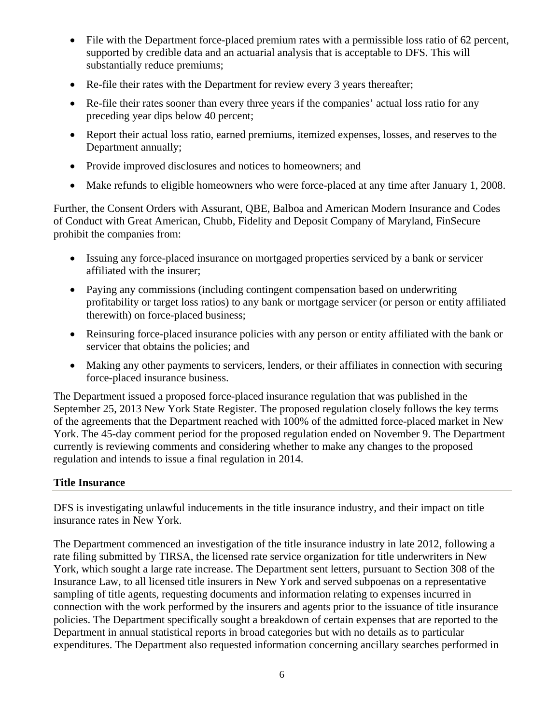- <span id="page-6-0"></span>• File with the Department force-placed premium rates with a permissible loss ratio of 62 percent, supported by credible data and an actuarial analysis that is acceptable to DFS. This will substantially reduce premiums;
- Re-file their rates with the Department for review every 3 years thereafter;
- Re-file their rates sooner than every three years if the companies' actual loss ratio for any preceding year dips below 40 percent;
- Report their actual loss ratio, earned premiums, itemized expenses, losses, and reserves to the Department annually;
- Provide improved disclosures and notices to homeowners; and
- Make refunds to eligible homeowners who were force-placed at any time after January 1, 2008.

Further, the Consent Orders with Assurant, QBE, Balboa and American Modern Insurance and Codes of Conduct with Great American, Chubb, Fidelity and Deposit Company of Maryland, FinSecure prohibit the companies from:

- Issuing any force-placed insurance on mortgaged properties serviced by a bank or servicer affiliated with the insurer;
- Paying any commissions (including contingent compensation based on underwriting profitability or target loss ratios) to any bank or mortgage servicer (or person or entity affiliated therewith) on force-placed business;
- Reinsuring force-placed insurance policies with any person or entity affiliated with the bank or servicer that obtains the policies; and
- Making any other payments to servicers, lenders, or their affiliates in connection with securing force-placed insurance business.

The Department issued a proposed force-placed insurance regulation that was published in the September 25, 2013 New York State Register. The proposed regulation closely follows the key terms of the agreements that the Department reached with 100% of the admitted force-placed market in New York. The 45-day comment period for the proposed regulation ended on November 9. The Department currently is reviewing comments and considering whether to make any changes to the proposed regulation and intends to issue a final regulation in 2014.

## **Title Insurance**

DFS is investigating unlawful inducements in the title insurance industry, and their impact on title insurance rates in New York.

The Department commenced an investigation of the title insurance industry in late 2012, following a rate filing submitted by TIRSA, the licensed rate service organization for title underwriters in New York, which sought a large rate increase. The Department sent letters, pursuant to Section 308 of the Insurance Law, to all licensed title insurers in New York and served subpoenas on a representative sampling of title agents, requesting documents and information relating to expenses incurred in connection with the work performed by the insurers and agents prior to the issuance of title insurance policies. The Department specifically sought a breakdown of certain expenses that are reported to the Department in annual statistical reports in broad categories but with no details as to particular expenditures. The Department also requested information concerning ancillary searches performed in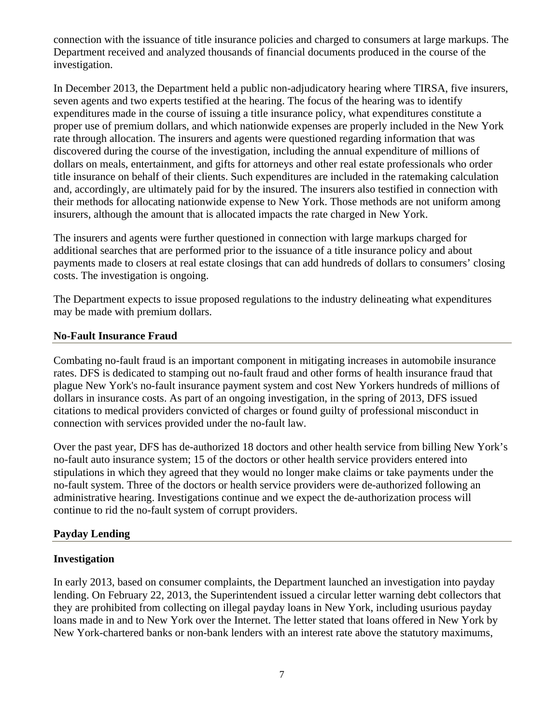<span id="page-7-0"></span>connection with the issuance of title insurance policies and charged to consumers at large markups. The Department received and analyzed thousands of financial documents produced in the course of the investigation.

In December 2013, the Department held a public non-adjudicatory hearing where TIRSA, five insurers, seven agents and two experts testified at the hearing. The focus of the hearing was to identify expenditures made in the course of issuing a title insurance policy, what expenditures constitute a proper use of premium dollars, and which nationwide expenses are properly included in the New York rate through allocation. The insurers and agents were questioned regarding information that was discovered during the course of the investigation, including the annual expenditure of millions of dollars on meals, entertainment, and gifts for attorneys and other real estate professionals who order title insurance on behalf of their clients. Such expenditures are included in the ratemaking calculation and, accordingly, are ultimately paid for by the insured. The insurers also testified in connection with their methods for allocating nationwide expense to New York. Those methods are not uniform among insurers, although the amount that is allocated impacts the rate charged in New York.

The insurers and agents were further questioned in connection with large markups charged for additional searches that are performed prior to the issuance of a title insurance policy and about payments made to closers at real estate closings that can add hundreds of dollars to consumers' closing costs. The investigation is ongoing.

The Department expects to issue proposed regulations to the industry delineating what expenditures may be made with premium dollars.

#### **No-Fault Insurance Fraud**

Combating no-fault fraud is an important component in mitigating increases in automobile insurance rates. DFS is dedicated to stamping out no-fault fraud and other forms of health insurance fraud that plague New York's no-fault insurance payment system and cost New Yorkers hundreds of millions of dollars in insurance costs. As part of an ongoing investigation, in the spring of 2013, DFS issued citations to medical providers convicted of charges or found guilty of professional misconduct in connection with services provided under the no-fault law.

Over the past year, DFS has de-authorized 18 doctors and other health service from billing New York's no-fault auto insurance system; 15 of the doctors or other health service providers entered into stipulations in which they agreed that they would no longer make claims or take payments under the no-fault system. Three of the doctors or health service providers were de-authorized following an administrative hearing. Investigations continue and we expect the de-authorization process will continue to rid the no-fault system of corrupt providers.

## **Payday Lending**

## **Investigation**

In early 2013, based on consumer complaints, the Department launched an investigation into payday lending. On February 22, 2013, the Superintendent issued a circular letter warning debt collectors that they are prohibited from collecting on illegal payday loans in New York, including usurious payday loans made in and to New York over the Internet. The letter stated that loans offered in New York by New York-chartered banks or non-bank lenders with an interest rate above the statutory maximums,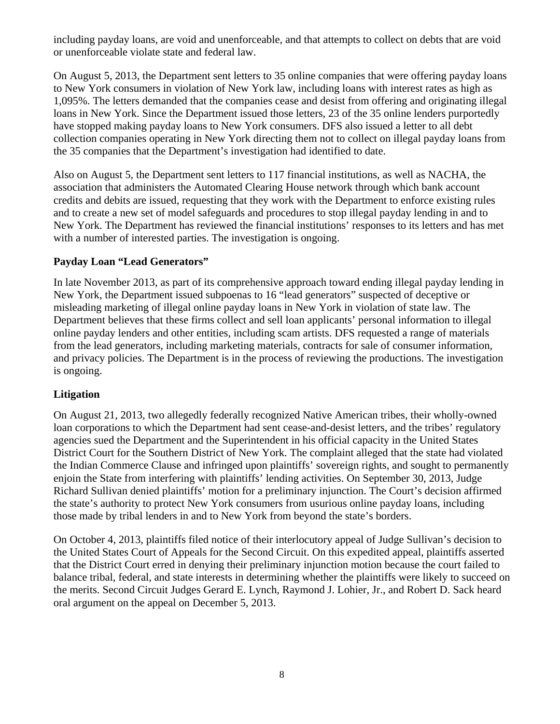<span id="page-8-0"></span>including payday loans, are void and unenforceable, and that attempts to collect on debts that are void or unenforceable violate state and federal law.

On August 5, 2013, the Department sent letters to 35 online companies that were offering payday loans to New York consumers in violation of New York law, including loans with interest rates as high as 1,095%. The letters demanded that the companies cease and desist from offering and originating illegal loans in New York. Since the Department issued those letters, 23 of the 35 online lenders purportedly have stopped making payday loans to New York consumers. DFS also issued a letter to all debt collection companies operating in New York directing them not to collect on illegal payday loans from the 35 companies that the Department's investigation had identified to date.

Also on August 5, the Department sent letters to 117 financial institutions, as well as NACHA, the association that administers the Automated Clearing House network through which bank account credits and debits are issued, requesting that they work with the Department to enforce existing rules and to create a new set of model safeguards and procedures to stop illegal payday lending in and to New York. The Department has reviewed the financial institutions' responses to its letters and has met with a number of interested parties. The investigation is ongoing.

## **Payday Loan "Lead Generators"**

In late November 2013, as part of its comprehensive approach toward ending illegal payday lending in New York, the Department issued subpoenas to 16 "lead generators" suspected of deceptive or misleading marketing of illegal online payday loans in New York in violation of state law. The Department believes that these firms collect and sell loan applicants' personal information to illegal online payday lenders and other entities, including scam artists. DFS requested a range of materials from the lead generators, including marketing materials, contracts for sale of consumer information, and privacy policies. The Department is in the process of reviewing the productions. The investigation is ongoing.

## **Litigation**

On August 21, 2013, two allegedly federally recognized Native American tribes, their wholly-owned loan corporations to which the Department had sent cease-and-desist letters, and the tribes' regulatory agencies sued the Department and the Superintendent in his official capacity in the United States District Court for the Southern District of New York. The complaint alleged that the state had violated the Indian Commerce Clause and infringed upon plaintiffs' sovereign rights, and sought to permanently enjoin the State from interfering with plaintiffs' lending activities. On September 30, 2013, Judge Richard Sullivan denied plaintiffs' motion for a preliminary injunction. The Court's decision affirmed the state's authority to protect New York consumers from usurious online payday loans, including those made by tribal lenders in and to New York from beyond the state's borders.

On October 4, 2013, plaintiffs filed notice of their interlocutory appeal of Judge Sullivan's decision to the United States Court of Appeals for the Second Circuit. On this expedited appeal, plaintiffs asserted that the District Court erred in denying their preliminary injunction motion because the court failed to balance tribal, federal, and state interests in determining whether the plaintiffs were likely to succeed on the merits. Second Circuit Judges Gerard E. Lynch, Raymond J. Lohier, Jr., and Robert D. Sack heard oral argument on the appeal on December 5, 2013.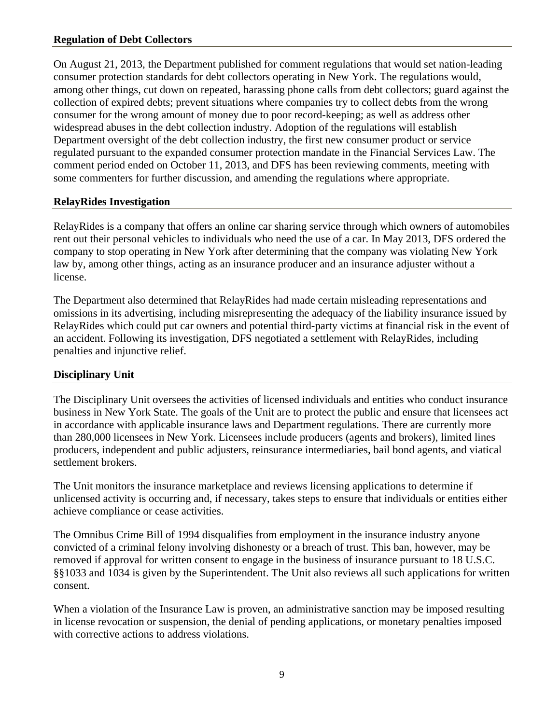#### <span id="page-9-0"></span>**Regulation of Debt Collectors**

On August 21, 2013, the Department published for comment regulations that would set nation-leading consumer protection standards for debt collectors operating in New York. The regulations would, among other things, cut down on repeated, harassing phone calls from debt collectors; guard against the collection of expired debts; prevent situations where companies try to collect debts from the wrong consumer for the wrong amount of money due to poor record-keeping; as well as address other widespread abuses in the debt collection industry. Adoption of the regulations will establish Department oversight of the debt collection industry, the first new consumer product or service regulated pursuant to the expanded consumer protection mandate in the Financial Services Law. The comment period ended on October 11, 2013, and DFS has been reviewing comments, meeting with some commenters for further discussion, and amending the regulations where appropriate.

#### **RelayRides Investigation**

RelayRides is a company that offers an online car sharing service through which owners of automobiles rent out their personal vehicles to individuals who need the use of a car. In May 2013, DFS ordered the company to stop operating in New York after determining that the company was violating New York law by, among other things, acting as an insurance producer and an insurance adjuster without a license.

The Department also determined that RelayRides had made certain misleading representations and omissions in its advertising, including misrepresenting the adequacy of the liability insurance issued by RelayRides which could put car owners and potential third-party victims at financial risk in the event of an accident. Following its investigation, DFS negotiated a settlement with RelayRides, including penalties and injunctive relief.

#### **Disciplinary Unit**

The Disciplinary Unit oversees the activities of licensed individuals and entities who conduct insurance business in New York State. The goals of the Unit are to protect the public and ensure that licensees act in accordance with applicable insurance laws and Department regulations. There are currently more than 280,000 licensees in New York. Licensees include producers (agents and brokers), limited lines producers, independent and public adjusters, reinsurance intermediaries, bail bond agents, and viatical settlement brokers.

The Unit monitors the insurance marketplace and reviews licensing applications to determine if unlicensed activity is occurring and, if necessary, takes steps to ensure that individuals or entities either achieve compliance or cease activities.

The Omnibus Crime Bill of 1994 disqualifies from employment in the insurance industry anyone convicted of a criminal felony involving dishonesty or a breach of trust. This ban, however, may be removed if approval for written consent to engage in the business of insurance pursuant to 18 U.S.C. §§1033 and 1034 is given by the Superintendent. The Unit also reviews all such applications for written consent.

When a violation of the Insurance Law is proven, an administrative sanction may be imposed resulting in license revocation or suspension, the denial of pending applications, or monetary penalties imposed with corrective actions to address violations.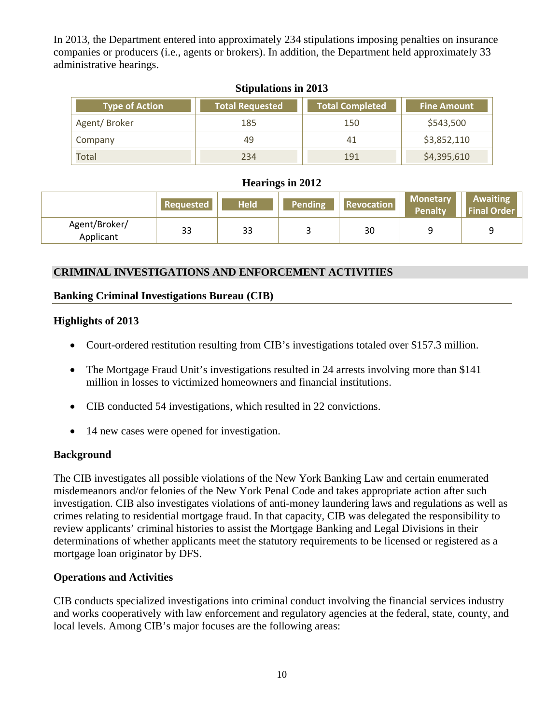In 2013, the Department entered into approximately 234 stipulations imposing penalties on insurance companies or producers (i.e., agents or brokers). In addition, the Department held approximately 33 administrative hearings.

|                                                 | $\overline{O}$ upulations in $\angle O15$ |                        |                    |  |  |  |  |  |
|-------------------------------------------------|-------------------------------------------|------------------------|--------------------|--|--|--|--|--|
| <b>Total Requested</b><br><b>Type of Action</b> |                                           | <b>Total Completed</b> | <b>Fine Amount</b> |  |  |  |  |  |
| Agent/Broker                                    | 185                                       | 150                    | \$543,500          |  |  |  |  |  |
| Company                                         | 49                                        | 41                     | \$3,852,110        |  |  |  |  |  |
| Total                                           | 234                                       | 191                    | \$4,395,610        |  |  |  |  |  |

#### **Stipulations in 2013**

#### **Hearings in 2012**

|                            | <b>Requested</b> | <b>Held</b> | Pending | <b>Revocation</b> | <b>Monetary</b><br><b>Penalty</b> | Awaiting<br><b>Final Order</b> |
|----------------------------|------------------|-------------|---------|-------------------|-----------------------------------|--------------------------------|
| Agent/Broker/<br>Applicant | 33               | 33          |         | 30                |                                   |                                |

#### **CRIMINAL INVESTIGATIONS AND ENFORCEMENT ACTIVITIES**

#### **Banking Criminal Investigations Bureau (CIB)**

#### **Highlights of 2013**

- Court-ordered restitution resulting from CIB's investigations totaled over \$157.3 million.
- The Mortgage Fraud Unit's investigations resulted in 24 arrests involving more than \$141 million in losses to victimized homeowners and financial institutions.
- CIB conducted 54 investigations, which resulted in 22 convictions.
- 14 new cases were opened for investigation.

#### **Background**

The CIB investigates all possible violations of the New York Banking Law and certain enumerated misdemeanors and/or felonies of the New York Penal Code and takes appropriate action after such investigation. CIB also investigates violations of anti-money laundering laws and regulations as well as crimes relating to residential mortgage fraud. In that capacity, CIB was delegated the responsibility to review applicants' criminal histories to assist the Mortgage Banking and Legal Divisions in their determinations of whether applicants meet the statutory requirements to be licensed or registered as a mortgage loan originator by DFS.

#### **Operations and Activities**

CIB conducts specialized investigations into criminal conduct involving the financial services industry and works cooperatively with law enforcement and regulatory agencies at the federal, state, county, and local levels. Among CIB's major focuses are the following areas: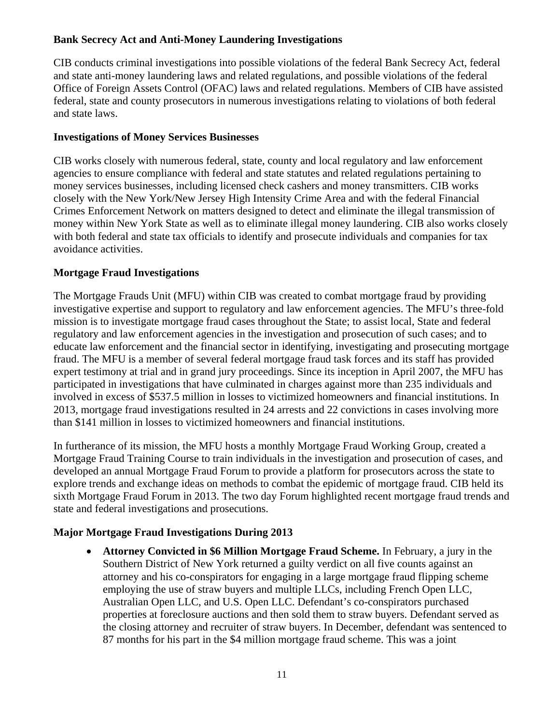## **Bank Secrecy Act and Anti-Money Laundering Investigations**

CIB conducts criminal investigations into possible violations of the federal Bank Secrecy Act, federal and state anti-money laundering laws and related regulations, and possible violations of the federal Office of Foreign Assets Control (OFAC) laws and related regulations. Members of CIB have assisted federal, state and county prosecutors in numerous investigations relating to violations of both federal and state laws.

## **Investigations of Money Services Businesses**

CIB works closely with numerous federal, state, county and local regulatory and law enforcement agencies to ensure compliance with federal and state statutes and related regulations pertaining to money services businesses, including licensed check cashers and money transmitters. CIB works closely with the New York/New Jersey High Intensity Crime Area and with the federal Financial Crimes Enforcement Network on matters designed to detect and eliminate the illegal transmission of money within New York State as well as to eliminate illegal money laundering. CIB also works closely with both federal and state tax officials to identify and prosecute individuals and companies for tax avoidance activities.

## **Mortgage Fraud Investigations**

The Mortgage Frauds Unit (MFU) within CIB was created to combat mortgage fraud by providing investigative expertise and support to regulatory and law enforcement agencies. The MFU's three-fold mission is to investigate mortgage fraud cases throughout the State; to assist local, State and federal regulatory and law enforcement agencies in the investigation and prosecution of such cases; and to educate law enforcement and the financial sector in identifying, investigating and prosecuting mortgage fraud. The MFU is a member of several federal mortgage fraud task forces and its staff has provided expert testimony at trial and in grand jury proceedings. Since its inception in April 2007, the MFU has participated in investigations that have culminated in charges against more than 235 individuals and involved in excess of \$537.5 million in losses to victimized homeowners and financial institutions. In 2013, mortgage fraud investigations resulted in 24 arrests and 22 convictions in cases involving more than \$141 million in losses to victimized homeowners and financial institutions.

In furtherance of its mission, the MFU hosts a monthly Mortgage Fraud Working Group, created a Mortgage Fraud Training Course to train individuals in the investigation and prosecution of cases, and developed an annual Mortgage Fraud Forum to provide a platform for prosecutors across the state to explore trends and exchange ideas on methods to combat the epidemic of mortgage fraud. CIB held its sixth Mortgage Fraud Forum in 2013. The two day Forum highlighted recent mortgage fraud trends and state and federal investigations and prosecutions.

# **Major Mortgage Fraud Investigations During 2013**

 **Attorney Convicted in \$6 Million Mortgage Fraud Scheme.** In February, a jury in the Southern District of New York returned a guilty verdict on all five counts against an attorney and his co-conspirators for engaging in a large mortgage fraud flipping scheme employing the use of straw buyers and multiple LLCs, including French Open LLC, Australian Open LLC, and U.S. Open LLC. Defendant's co-conspirators purchased properties at foreclosure auctions and then sold them to straw buyers. Defendant served as the closing attorney and recruiter of straw buyers. In December, defendant was sentenced to 87 months for his part in the \$4 million mortgage fraud scheme. This was a joint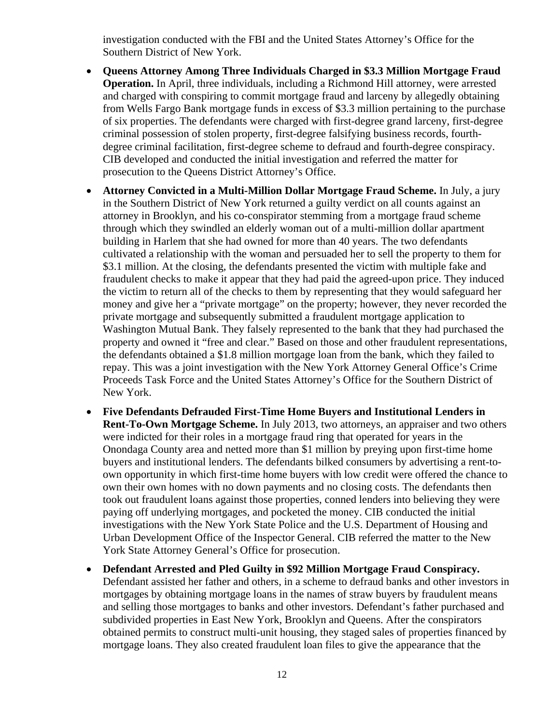investigation conducted with the FBI and the United States Attorney's Office for the Southern District of New York.

- **Queens Attorney Among Three Individuals Charged in \$3.3 Million Mortgage Fraud Operation.** In April, three individuals, including a Richmond Hill attorney, were arrested and charged with conspiring to commit mortgage fraud and larceny by allegedly obtaining from Wells Fargo Bank mortgage funds in excess of \$3.3 million pertaining to the purchase of six properties. The defendants were charged with first-degree grand larceny, first-degree criminal possession of stolen property, first-degree falsifying business records, fourthdegree criminal facilitation, first-degree scheme to defraud and fourth-degree conspiracy. CIB developed and conducted the initial investigation and referred the matter for prosecution to the Queens District Attorney's Office.
- **Attorney Convicted in a Multi-Million Dollar Mortgage Fraud Scheme.** In July, a jury in the Southern District of New York returned a guilty verdict on all counts against an attorney in Brooklyn, and his co-conspirator stemming from a mortgage fraud scheme through which they swindled an elderly woman out of a multi-million dollar apartment building in Harlem that she had owned for more than 40 years. The two defendants cultivated a relationship with the woman and persuaded her to sell the property to them for \$3.1 million. At the closing, the defendants presented the victim with multiple fake and fraudulent checks to make it appear that they had paid the agreed-upon price. They induced the victim to return all of the checks to them by representing that they would safeguard her money and give her a "private mortgage" on the property; however, they never recorded the private mortgage and subsequently submitted a fraudulent mortgage application to Washington Mutual Bank. They falsely represented to the bank that they had purchased the property and owned it "free and clear." Based on those and other fraudulent representations, the defendants obtained a \$1.8 million mortgage loan from the bank, which they failed to repay. This was a joint investigation with the New York Attorney General Office's Crime Proceeds Task Force and the United States Attorney's Office for the Southern District of New York.
- **Five Defendants Defrauded First-Time Home Buyers and Institutional Lenders in Rent-To-Own Mortgage Scheme.** In July 2013, two attorneys, an appraiser and two others were indicted for their roles in a mortgage fraud ring that operated for years in the Onondaga County area and netted more than \$1 million by preying upon first-time home buyers and institutional lenders. The defendants bilked consumers by advertising a rent-toown opportunity in which first-time home buyers with low credit were offered the chance to own their own homes with no down payments and no closing costs. The defendants then took out fraudulent loans against those properties, conned lenders into believing they were paying off underlying mortgages, and pocketed the money. CIB conducted the initial investigations with the New York State Police and the U.S. Department of Housing and Urban Development Office of the Inspector General. CIB referred the matter to the New York State Attorney General's Office for prosecution.
- **Defendant Arrested and Pled Guilty in \$92 Million Mortgage Fraud Conspiracy.**  Defendant assisted her father and others, in a scheme to defraud banks and other investors in mortgages by obtaining mortgage loans in the names of straw buyers by fraudulent means and selling those mortgages to banks and other investors. Defendant's father purchased and subdivided properties in East New York, Brooklyn and Queens. After the conspirators obtained permits to construct multi-unit housing, they staged sales of properties financed by mortgage loans. They also created fraudulent loan files to give the appearance that the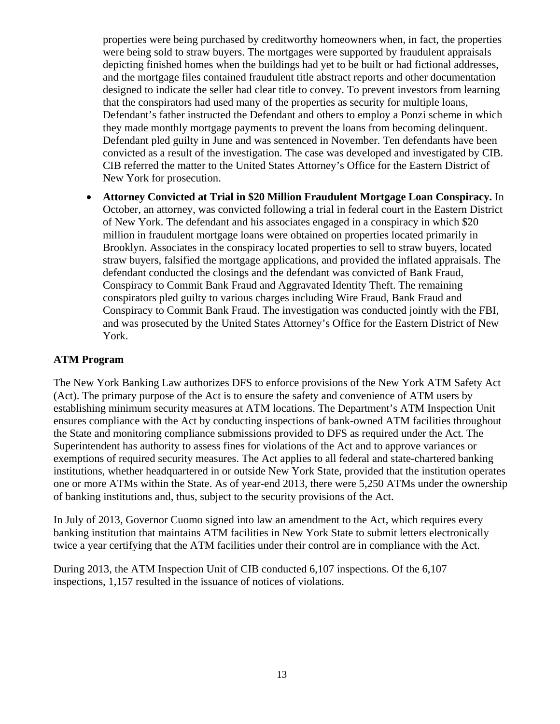properties were being purchased by creditworthy homeowners when, in fact, the properties were being sold to straw buyers. The mortgages were supported by fraudulent appraisals depicting finished homes when the buildings had yet to be built or had fictional addresses, and the mortgage files contained fraudulent title abstract reports and other documentation designed to indicate the seller had clear title to convey. To prevent investors from learning that the conspirators had used many of the properties as security for multiple loans, Defendant's father instructed the Defendant and others to employ a Ponzi scheme in which they made monthly mortgage payments to prevent the loans from becoming delinquent. Defendant pled guilty in June and was sentenced in November. Ten defendants have been convicted as a result of the investigation. The case was developed and investigated by CIB. CIB referred the matter to the United States Attorney's Office for the Eastern District of New York for prosecution.

 **Attorney Convicted at Trial in \$20 Million Fraudulent Mortgage Loan Conspiracy.** In October, an attorney, was convicted following a trial in federal court in the Eastern District of New York. The defendant and his associates engaged in a conspiracy in which \$20 million in fraudulent mortgage loans were obtained on properties located primarily in Brooklyn. Associates in the conspiracy located properties to sell to straw buyers, located straw buyers, falsified the mortgage applications, and provided the inflated appraisals. The defendant conducted the closings and the defendant was convicted of Bank Fraud, Conspiracy to Commit Bank Fraud and Aggravated Identity Theft. The remaining conspirators pled guilty to various charges including Wire Fraud, Bank Fraud and Conspiracy to Commit Bank Fraud. The investigation was conducted jointly with the FBI, and was prosecuted by the United States Attorney's Office for the Eastern District of New York.

#### **ATM Program**

The New York Banking Law authorizes DFS to enforce provisions of the New York ATM Safety Act (Act). The primary purpose of the Act is to ensure the safety and convenience of ATM users by establishing minimum security measures at ATM locations. The Department's ATM Inspection Unit ensures compliance with the Act by conducting inspections of bank-owned ATM facilities throughout the State and monitoring compliance submissions provided to DFS as required under the Act. The Superintendent has authority to assess fines for violations of the Act and to approve variances or exemptions of required security measures. The Act applies to all federal and state-chartered banking institutions, whether headquartered in or outside New York State, provided that the institution operates one or more ATMs within the State. As of year-end 2013, there were 5,250 ATMs under the ownership of banking institutions and, thus, subject to the security provisions of the Act.

In July of 2013, Governor Cuomo signed into law an amendment to the Act, which requires every banking institution that maintains ATM facilities in New York State to submit letters electronically twice a year certifying that the ATM facilities under their control are in compliance with the Act.

During 2013, the ATM Inspection Unit of CIB conducted 6,107 inspections. Of the 6,107 inspections, 1,157 resulted in the issuance of notices of violations.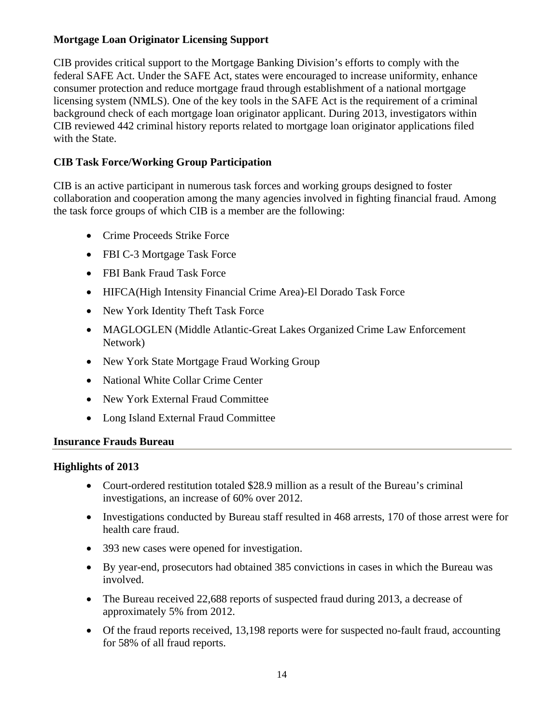# <span id="page-14-0"></span>**Mortgage Loan Originator Licensing Support**

CIB provides critical support to the Mortgage Banking Division's efforts to comply with the federal SAFE Act. Under the SAFE Act, states were encouraged to increase uniformity, enhance consumer protection and reduce mortgage fraud through establishment of a national mortgage licensing system (NMLS). One of the key tools in the SAFE Act is the requirement of a criminal background check of each mortgage loan originator applicant. During 2013, investigators within CIB reviewed 442 criminal history reports related to mortgage loan originator applications filed with the State.

# **CIB Task Force/Working Group Participation**

CIB is an active participant in numerous task forces and working groups designed to foster collaboration and cooperation among the many agencies involved in fighting financial fraud. Among the task force groups of which CIB is a member are the following:

- Crime Proceeds Strike Force
- FBI C-3 Mortgage Task Force
- FBI Bank Fraud Task Force
- HIFCA(High Intensity Financial Crime Area)-El Dorado Task Force
- New York Identity Theft Task Force
- MAGLOGLEN (Middle Atlantic-Great Lakes Organized Crime Law Enforcement Network)
- New York State Mortgage Fraud Working Group
- National White Collar Crime Center
- New York External Fraud Committee
- Long Island External Fraud Committee

#### **Insurance Frauds Bureau**

## **Highlights of 2013**

- Court-ordered restitution totaled \$28.9 million as a result of the Bureau's criminal investigations, an increase of 60% over 2012.
- Investigations conducted by Bureau staff resulted in 468 arrests, 170 of those arrest were for health care fraud.
- 393 new cases were opened for investigation.
- By year-end, prosecutors had obtained 385 convictions in cases in which the Bureau was involved.
- The Bureau received 22,688 reports of suspected fraud during 2013, a decrease of approximately 5% from 2012.
- Of the fraud reports received, 13,198 reports were for suspected no-fault fraud, accounting for 58% of all fraud reports.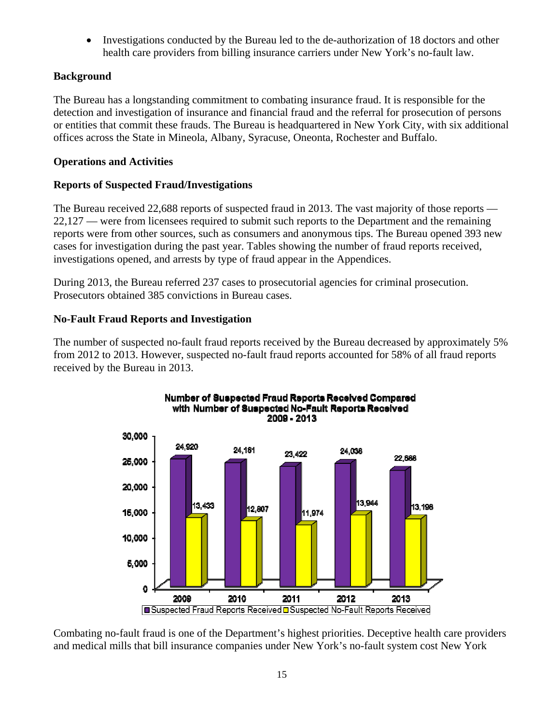Investigations conducted by the Bureau led to the de-authorization of 18 doctors and other health care providers from billing insurance carriers under New York's no-fault law.

# <span id="page-15-0"></span>**Background**

The Bureau has a longstanding commitment to combating insurance fraud. It is responsible for the detection and investigation of insurance and financial fraud and the referral for prosecution of persons or entities that commit these frauds. The Bureau is headquartered in New York City, with six additional offices across the State in Mineola, Albany, Syracuse, Oneonta, Rochester and Buffalo.

# **Operations and Activities**

# **Reports of Suspected Fraud/Investigations**

The Bureau received 22,688 reports of suspected fraud in 2013. The vast majority of those reports — 22,127 — were from licensees required to submit such reports to the Department and the remaining reports were from other sources, such as consumers and anonymous tips. The Bureau opened 393 new cases for investigation during the past year. Tables showing the number of fraud reports received, investigations opened, and arrests by type of fraud appear in the Appendices.

During 2013, the Bureau referred 237 cases to prosecutorial agencies for criminal prosecution. Prosecutors obtained 385 convictions in Bureau cases.

# **No-Fault Fraud Reports and Investigation**

The number of suspected no-fault fraud reports received by the Bureau decreased by approximately 5% from 2012 to 2013. However, suspected no-fault fraud reports accounted for 58% of all fraud reports received by the Bureau in 2013.



Combating no-fault fraud is one of the Department's highest priorities. Deceptive health care providers and medical mills that bill insurance companies under New York's no-fault system cost New York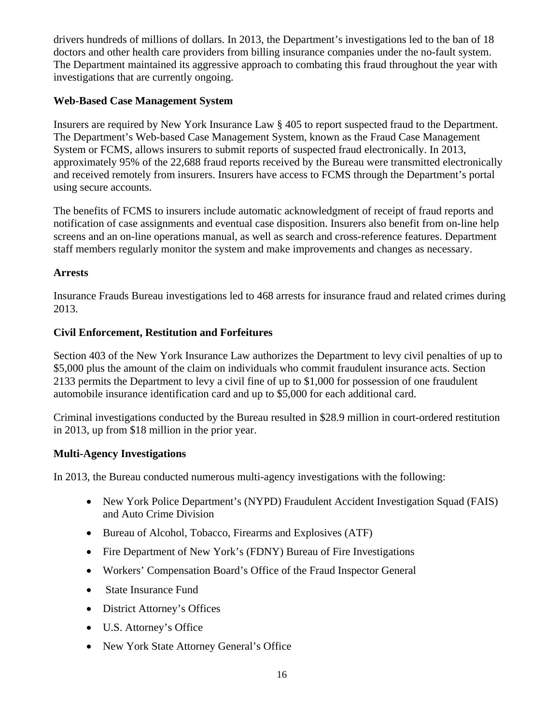drivers hundreds of millions of dollars. In 2013, the Department's investigations led to the ban of 18 doctors and other health care providers from billing insurance companies under the no-fault system. The Department maintained its aggressive approach to combating this fraud throughout the year with investigations that are currently ongoing.

# **Web-Based Case Management System**

Insurers are required by New York Insurance Law § 405 to report suspected fraud to the Department. The Department's Web-based Case Management System, known as the Fraud Case Management System or FCMS, allows insurers to submit reports of suspected fraud electronically. In 2013, approximately 95% of the 22,688 fraud reports received by the Bureau were transmitted electronically and received remotely from insurers. Insurers have access to FCMS through the Department's portal using secure accounts.

The benefits of FCMS to insurers include automatic acknowledgment of receipt of fraud reports and notification of case assignments and eventual case disposition. Insurers also benefit from on-line help screens and an on-line operations manual, as well as search and cross-reference features. Department staff members regularly monitor the system and make improvements and changes as necessary.

## **Arrests**

Insurance Frauds Bureau investigations led to 468 arrests for insurance fraud and related crimes during 2013.

## **Civil Enforcement, Restitution and Forfeitures**

Section 403 of the New York Insurance Law authorizes the Department to levy civil penalties of up to \$5,000 plus the amount of the claim on individuals who commit fraudulent insurance acts. Section 2133 permits the Department to levy a civil fine of up to \$1,000 for possession of one fraudulent automobile insurance identification card and up to \$5,000 for each additional card.

Criminal investigations conducted by the Bureau resulted in \$28.9 million in court-ordered restitution in 2013, up from \$18 million in the prior year.

## **Multi-Agency Investigations**

In 2013, the Bureau conducted numerous multi-agency investigations with the following:

- New York Police Department's (NYPD) Fraudulent Accident Investigation Squad (FAIS) and Auto Crime Division
- Bureau of Alcohol, Tobacco, Firearms and Explosives (ATF)
- Fire Department of New York's (FDNY) Bureau of Fire Investigations
- Workers' Compensation Board's Office of the Fraud Inspector General
- State Insurance Fund
- District Attorney's Offices
- U.S. Attorney's Office
- New York State Attorney General's Office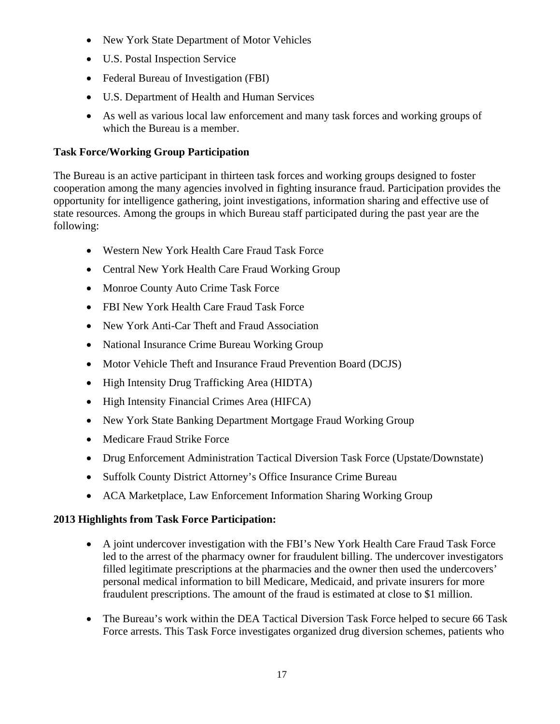- New York State Department of Motor Vehicles
- U.S. Postal Inspection Service
- Federal Bureau of Investigation (FBI)
- U.S. Department of Health and Human Services
- As well as various local law enforcement and many task forces and working groups of which the Bureau is a member.

## **Task Force/Working Group Participation**

The Bureau is an active participant in thirteen task forces and working groups designed to foster cooperation among the many agencies involved in fighting insurance fraud. Participation provides the opportunity for intelligence gathering, joint investigations, information sharing and effective use of state resources. Among the groups in which Bureau staff participated during the past year are the following:

- Western New York Health Care Fraud Task Force
- Central New York Health Care Fraud Working Group
- Monroe County Auto Crime Task Force
- FBI New York Health Care Fraud Task Force
- New York Anti-Car Theft and Fraud Association
- National Insurance Crime Bureau Working Group
- Motor Vehicle Theft and Insurance Fraud Prevention Board (DCJS)
- High Intensity Drug Trafficking Area (HIDTA)
- High Intensity Financial Crimes Area (HIFCA)
- New York State Banking Department Mortgage Fraud Working Group
- Medicare Fraud Strike Force
- Drug Enforcement Administration Tactical Diversion Task Force (Upstate/Downstate)
- Suffolk County District Attorney's Office Insurance Crime Bureau
- ACA Marketplace, Law Enforcement Information Sharing Working Group

## **2013 Highlights from Task Force Participation:**

- A joint undercover investigation with the FBI's New York Health Care Fraud Task Force led to the arrest of the pharmacy owner for fraudulent billing. The undercover investigators filled legitimate prescriptions at the pharmacies and the owner then used the undercovers' personal medical information to bill Medicare, Medicaid, and private insurers for more fraudulent prescriptions. The amount of the fraud is estimated at close to \$1 million.
- The Bureau's work within the DEA Tactical Diversion Task Force helped to secure 66 Task Force arrests. This Task Force investigates organized drug diversion schemes, patients who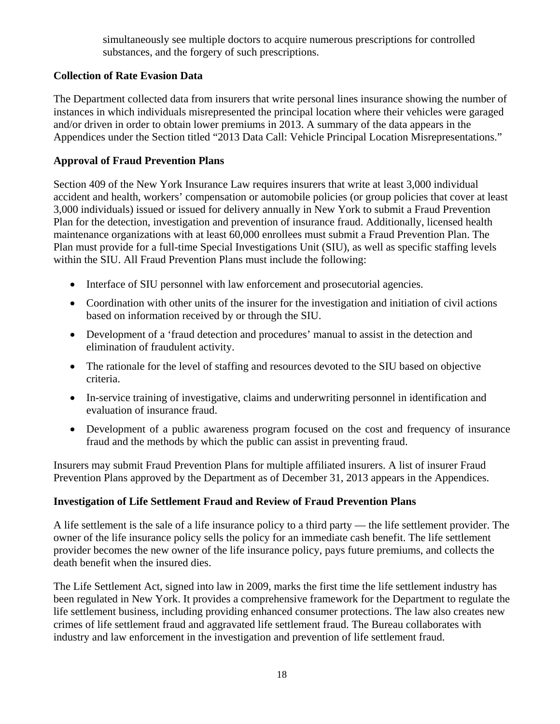simultaneously see multiple doctors to acquire numerous prescriptions for controlled substances, and the forgery of such prescriptions.

## **Collection of Rate Evasion Data**

The Department collected data from insurers that write personal lines insurance showing the number of instances in which individuals misrepresented the principal location where their vehicles were garaged and/or driven in order to obtain lower premiums in 2013. A summary of the data appears in the Appendices under the Section titled "2013 Data Call: Vehicle Principal Location Misrepresentations."

## **Approval of Fraud Prevention Plans**

Section 409 of the New York Insurance Law requires insurers that write at least 3,000 individual accident and health, workers' compensation or automobile policies (or group policies that cover at least 3,000 individuals) issued or issued for delivery annually in New York to submit a Fraud Prevention Plan for the detection, investigation and prevention of insurance fraud. Additionally, licensed health maintenance organizations with at least 60,000 enrollees must submit a Fraud Prevention Plan. The Plan must provide for a full-time Special Investigations Unit (SIU), as well as specific staffing levels within the SIU. All Fraud Prevention Plans must include the following:

- Interface of SIU personnel with law enforcement and prosecutorial agencies.
- Coordination with other units of the insurer for the investigation and initiation of civil actions based on information received by or through the SIU.
- Development of a 'fraud detection and procedures' manual to assist in the detection and elimination of fraudulent activity.
- The rationale for the level of staffing and resources devoted to the SIU based on objective criteria.
- In-service training of investigative, claims and underwriting personnel in identification and evaluation of insurance fraud.
- Development of a public awareness program focused on the cost and frequency of insurance fraud and the methods by which the public can assist in preventing fraud.

Insurers may submit Fraud Prevention Plans for multiple affiliated insurers. A list of insurer Fraud Prevention Plans approved by the Department as of December 31, 2013 appears in the Appendices.

## **Investigation of Life Settlement Fraud and Review of Fraud Prevention Plans**

A life settlement is the sale of a life insurance policy to a third party — the life settlement provider. The owner of the life insurance policy sells the policy for an immediate cash benefit. The life settlement provider becomes the new owner of the life insurance policy, pays future premiums, and collects the death benefit when the insured dies.

The Life Settlement Act, signed into law in 2009, marks the first time the life settlement industry has been regulated in New York. It provides a comprehensive framework for the Department to regulate the life settlement business, including providing enhanced consumer protections. The law also creates new crimes of life settlement fraud and aggravated life settlement fraud. The Bureau collaborates with industry and law enforcement in the investigation and prevention of life settlement fraud.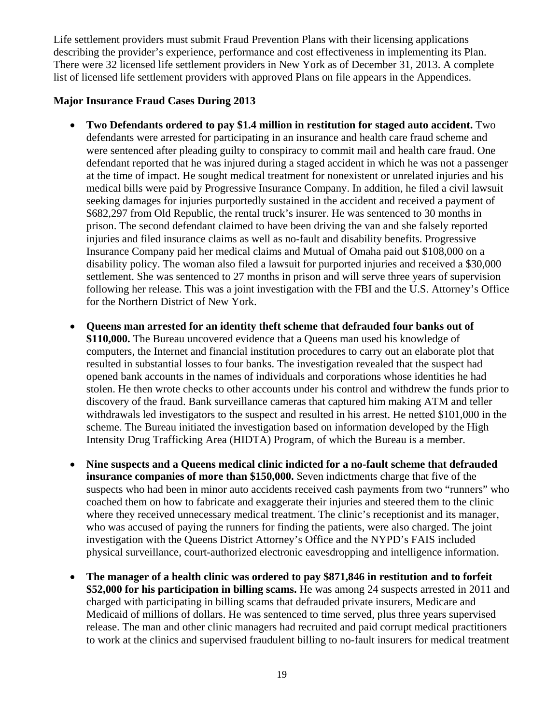Life settlement providers must submit Fraud Prevention Plans with their licensing applications describing the provider's experience, performance and cost effectiveness in implementing its Plan. There were 32 licensed life settlement providers in New York as of December 31, 2013. A complete list of licensed life settlement providers with approved Plans on file appears in the Appendices.

#### **Major Insurance Fraud Cases During 2013**

- **Two Defendants ordered to pay \$1.4 million in restitution for staged auto accident.** Two defendants were arrested for participating in an insurance and health care fraud scheme and were sentenced after pleading guilty to conspiracy to commit mail and health care fraud. One defendant reported that he was injured during a staged accident in which he was not a passenger at the time of impact. He sought medical treatment for nonexistent or unrelated injuries and his medical bills were paid by Progressive Insurance Company. In addition, he filed a civil lawsuit seeking damages for injuries purportedly sustained in the accident and received a payment of \$682,297 from Old Republic, the rental truck's insurer. He was sentenced to 30 months in prison. The second defendant claimed to have been driving the van and she falsely reported injuries and filed insurance claims as well as no-fault and disability benefits. Progressive Insurance Company paid her medical claims and Mutual of Omaha paid out \$108,000 on a disability policy. The woman also filed a lawsuit for purported injuries and received a \$30,000 settlement. She was sentenced to 27 months in prison and will serve three years of supervision following her release. This was a joint investigation with the FBI and the U.S. Attorney's Office for the Northern District of New York.
- **Queens man arrested for an identity theft scheme that defrauded four banks out of \$110,000.** The Bureau uncovered evidence that a Queens man used his knowledge of computers, the Internet and financial institution procedures to carry out an elaborate plot that resulted in substantial losses to four banks. The investigation revealed that the suspect had opened bank accounts in the names of individuals and corporations whose identities he had stolen. He then wrote checks to other accounts under his control and withdrew the funds prior to discovery of the fraud. Bank surveillance cameras that captured him making ATM and teller withdrawals led investigators to the suspect and resulted in his arrest. He netted \$101,000 in the scheme. The Bureau initiated the investigation based on information developed by the High Intensity Drug Trafficking Area (HIDTA) Program, of which the Bureau is a member.
- **Nine suspects and a Queens medical clinic indicted for a no-fault scheme that defrauded insurance companies of more than \$150,000.** Seven indictments charge that five of the suspects who had been in minor auto accidents received cash payments from two "runners" who coached them on how to fabricate and exaggerate their injuries and steered them to the clinic where they received unnecessary medical treatment. The clinic's receptionist and its manager, who was accused of paying the runners for finding the patients, were also charged. The joint investigation with the Queens District Attorney's Office and the NYPD's FAIS included physical surveillance, court-authorized electronic eavesdropping and intelligence information.
- **The manager of a health clinic was ordered to pay \$871,846 in restitution and to forfeit \$52,000 for his participation in billing scams.** He was among 24 suspects arrested in 2011 and charged with participating in billing scams that defrauded private insurers, Medicare and Medicaid of millions of dollars. He was sentenced to time served, plus three years supervised release. The man and other clinic managers had recruited and paid corrupt medical practitioners to work at the clinics and supervised fraudulent billing to no-fault insurers for medical treatment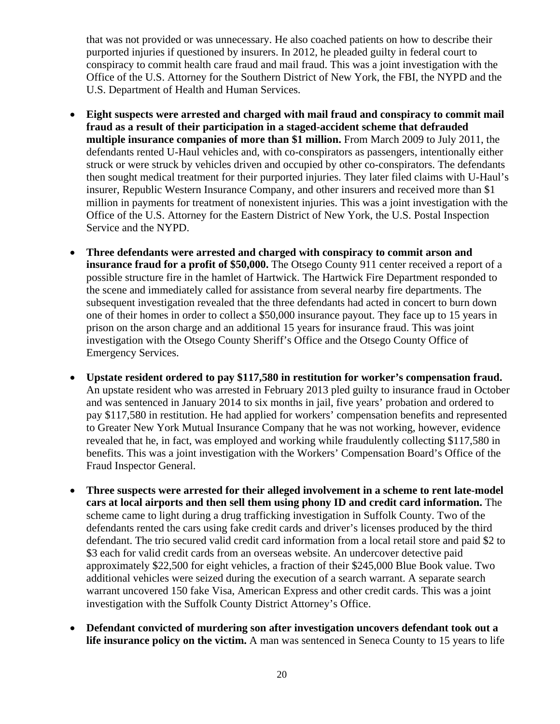that was not provided or was unnecessary. He also coached patients on how to describe their purported injuries if questioned by insurers. In 2012, he pleaded guilty in federal court to conspiracy to commit health care fraud and mail fraud. This was a joint investigation with the Office of the U.S. Attorney for the Southern District of New York, the FBI, the NYPD and the U.S. Department of Health and Human Services.

- **Eight suspects were arrested and charged with mail fraud and conspiracy to commit mail fraud as a result of their participation in a staged-accident scheme that defrauded multiple insurance companies of more than \$1 million.** From March 2009 to July 2011, the defendants rented U-Haul vehicles and, with co-conspirators as passengers, intentionally either struck or were struck by vehicles driven and occupied by other co-conspirators. The defendants then sought medical treatment for their purported injuries. They later filed claims with U-Haul's insurer, Republic Western Insurance Company, and other insurers and received more than \$1 million in payments for treatment of nonexistent injuries. This was a joint investigation with the Office of the U.S. Attorney for the Eastern District of New York, the U.S. Postal Inspection Service and the NYPD.
- **Three defendants were arrested and charged with conspiracy to commit arson and insurance fraud for a profit of \$50,000.** The Otsego County 911 center received a report of a possible structure fire in the hamlet of Hartwick. The Hartwick Fire Department responded to the scene and immediately called for assistance from several nearby fire departments. The subsequent investigation revealed that the three defendants had acted in concert to burn down one of their homes in order to collect a \$50,000 insurance payout. They face up to 15 years in prison on the arson charge and an additional 15 years for insurance fraud. This was joint investigation with the Otsego County Sheriff's Office and the Otsego County Office of Emergency Services.
- **Upstate resident ordered to pay \$117,580 in restitution for worker's compensation fraud.**  An upstate resident who was arrested in February 2013 pled guilty to insurance fraud in October and was sentenced in January 2014 to six months in jail, five years' probation and ordered to pay \$117,580 in restitution. He had applied for workers' compensation benefits and represented to Greater New York Mutual Insurance Company that he was not working, however, evidence revealed that he, in fact, was employed and working while fraudulently collecting \$117,580 in benefits. This was a joint investigation with the Workers' Compensation Board's Office of the Fraud Inspector General.
- **Three suspects were arrested for their alleged involvement in a scheme to rent late-model cars at local airports and then sell them using phony ID and credit card information.** The scheme came to light during a drug trafficking investigation in Suffolk County. Two of the defendants rented the cars using fake credit cards and driver's licenses produced by the third defendant. The trio secured valid credit card information from a local retail store and paid \$2 to \$3 each for valid credit cards from an overseas website. An undercover detective paid approximately \$22,500 for eight vehicles, a fraction of their \$245,000 Blue Book value. Two additional vehicles were seized during the execution of a search warrant. A separate search warrant uncovered 150 fake Visa, American Express and other credit cards. This was a joint investigation with the Suffolk County District Attorney's Office.
- **Defendant convicted of murdering son after investigation uncovers defendant took out a life insurance policy on the victim.** A man was sentenced in Seneca County to 15 years to life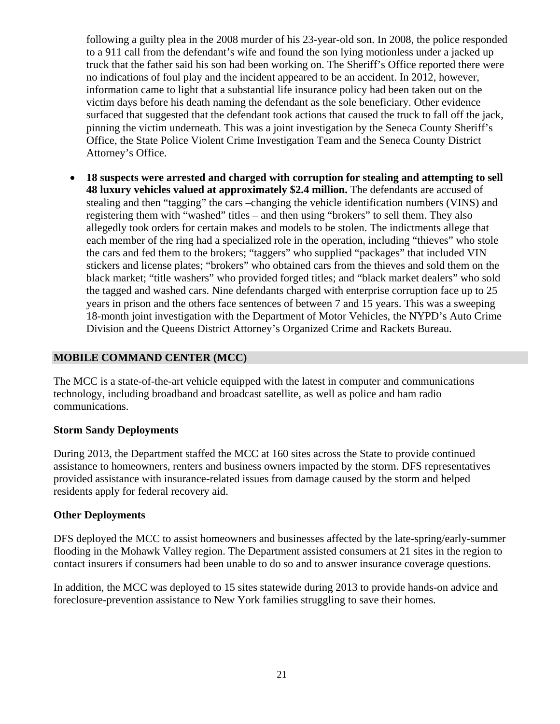<span id="page-21-0"></span>following a guilty plea in the 2008 murder of his 23-year-old son. In 2008, the police responded to a 911 call from the defendant's wife and found the son lying motionless under a jacked up truck that the father said his son had been working on. The Sheriff's Office reported there were no indications of foul play and the incident appeared to be an accident. In 2012, however, information came to light that a substantial life insurance policy had been taken out on the victim days before his death naming the defendant as the sole beneficiary. Other evidence surfaced that suggested that the defendant took actions that caused the truck to fall off the jack, pinning the victim underneath. This was a joint investigation by the Seneca County Sheriff's Office, the State Police Violent Crime Investigation Team and the Seneca County District Attorney's Office.

 **18 suspects were arrested and charged with corruption for stealing and attempting to sell 48 luxury vehicles valued at approximately \$2.4 million.** The defendants are accused of stealing and then "tagging" the cars –changing the vehicle identification numbers (VINS) and registering them with "washed" titles – and then using "brokers" to sell them. They also allegedly took orders for certain makes and models to be stolen. The indictments allege that each member of the ring had a specialized role in the operation, including "thieves" who stole the cars and fed them to the brokers; "taggers" who supplied "packages" that included VIN stickers and license plates; "brokers" who obtained cars from the thieves and sold them on the black market; "title washers" who provided forged titles; and "black market dealers" who sold the tagged and washed cars. Nine defendants charged with enterprise corruption face up to 25 years in prison and the others face sentences of between 7 and 15 years. This was a sweeping 18-month joint investigation with the Department of Motor Vehicles, the NYPD's Auto Crime Division and the Queens District Attorney's Organized Crime and Rackets Bureau.

#### **MOBILE COMMAND CENTER (MCC)**

The MCC is a state-of-the-art vehicle equipped with the latest in computer and communications technology, including broadband and broadcast satellite, as well as police and ham radio communications.

#### **Storm Sandy Deployments**

During 2013, the Department staffed the MCC at 160 sites across the State to provide continued assistance to homeowners, renters and business owners impacted by the storm. DFS representatives provided assistance with insurance-related issues from damage caused by the storm and helped residents apply for federal recovery aid.

#### **Other Deployments**

DFS deployed the MCC to assist homeowners and businesses affected by the late-spring/early-summer flooding in the Mohawk Valley region. The Department assisted consumers at 21 sites in the region to contact insurers if consumers had been unable to do so and to answer insurance coverage questions.

In addition, the MCC was deployed to 15 sites statewide during 2013 to provide hands-on advice and foreclosure-prevention assistance to New York families struggling to save their homes.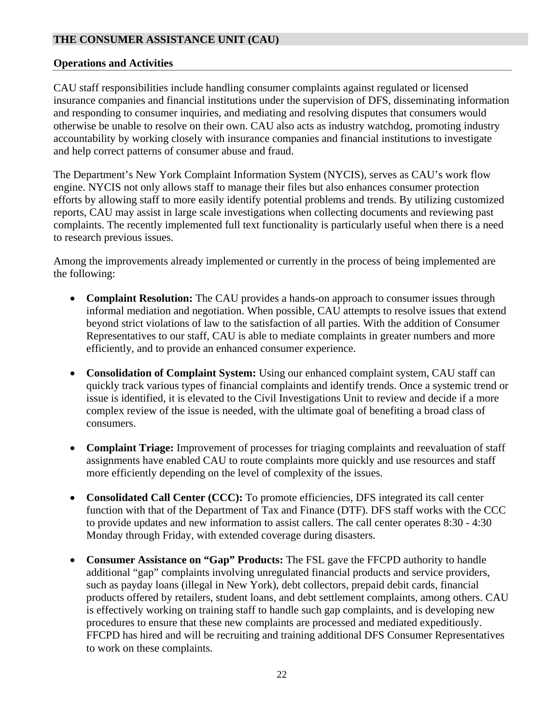## <span id="page-22-0"></span>**THE CONSUMER ASSISTANCE UNIT (CAU)**

#### **Operations and Activities**

CAU staff responsibilities include handling consumer complaints against regulated or licensed insurance companies and financial institutions under the supervision of DFS, disseminating information and responding to consumer inquiries, and mediating and resolving disputes that consumers would otherwise be unable to resolve on their own. CAU also acts as industry watchdog, promoting industry accountability by working closely with insurance companies and financial institutions to investigate and help correct patterns of consumer abuse and fraud.

The Department's New York Complaint Information System (NYCIS), serves as CAU's work flow engine. NYCIS not only allows staff to manage their files but also enhances consumer protection efforts by allowing staff to more easily identify potential problems and trends. By utilizing customized reports, CAU may assist in large scale investigations when collecting documents and reviewing past complaints. The recently implemented full text functionality is particularly useful when there is a need to research previous issues.

Among the improvements already implemented or currently in the process of being implemented are the following:

- **Complaint Resolution:** The CAU provides a hands-on approach to consumer issues through informal mediation and negotiation. When possible, CAU attempts to resolve issues that extend beyond strict violations of law to the satisfaction of all parties. With the addition of Consumer Representatives to our staff, CAU is able to mediate complaints in greater numbers and more efficiently, and to provide an enhanced consumer experience.
- **Consolidation of Complaint System:** Using our enhanced complaint system, CAU staff can quickly track various types of financial complaints and identify trends. Once a systemic trend or issue is identified, it is elevated to the Civil Investigations Unit to review and decide if a more complex review of the issue is needed, with the ultimate goal of benefiting a broad class of consumers.
- **Complaint Triage:** Improvement of processes for triaging complaints and reevaluation of staff assignments have enabled CAU to route complaints more quickly and use resources and staff more efficiently depending on the level of complexity of the issues.
- **Consolidated Call Center (CCC):** To promote efficiencies, DFS integrated its call center function with that of the Department of Tax and Finance (DTF). DFS staff works with the CCC to provide updates and new information to assist callers. The call center operates 8:30 - 4:30 Monday through Friday, with extended coverage during disasters.
- **Consumer Assistance on "Gap" Products:** The FSL gave the FFCPD authority to handle additional "gap" complaints involving unregulated financial products and service providers, such as payday loans (illegal in New York), debt collectors, prepaid debit cards, financial products offered by retailers, student loans, and debt settlement complaints, among others. CAU is effectively working on training staff to handle such gap complaints, and is developing new procedures to ensure that these new complaints are processed and mediated expeditiously. FFCPD has hired and will be recruiting and training additional DFS Consumer Representatives to work on these complaints.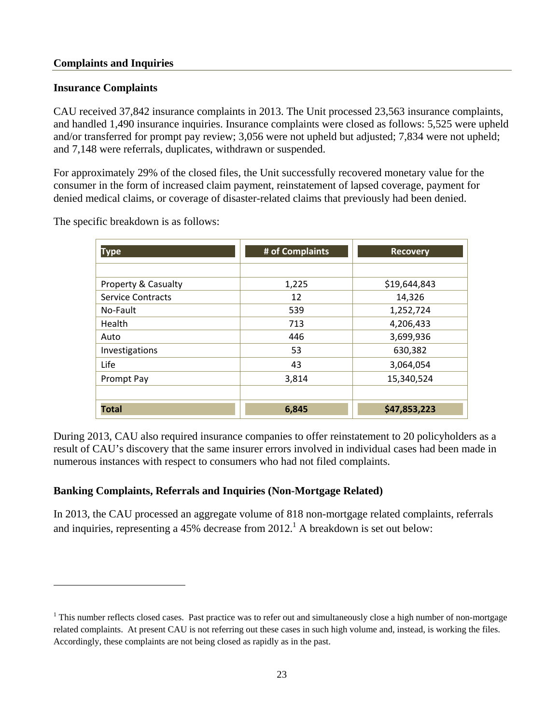#### **Complaints and Inquiries**

#### **Insurance Complaints**

 $\overline{a}$ 

CAU received 37,842 insurance complaints in 2013. The Unit processed 23,563 insurance complaints, and handled 1,490 insurance inquiries. Insurance complaints were closed as follows: 5,525 were upheld and/or transferred for prompt pay review; 3,056 were not upheld but adjusted; 7,834 were not upheld; and 7,148 were referrals, duplicates, withdrawn or suspended.

For approximately 29% of the closed files, the Unit successfully recovered monetary value for the consumer in the form of increased claim payment, reinstatement of lapsed coverage, payment for denied medical claims, or coverage of disaster-related claims that previously had been denied.

The specific breakdown is as follows:

| <b>Type</b>              | # of Complaints | <b>Recovery</b> |
|--------------------------|-----------------|-----------------|
|                          |                 |                 |
| Property & Casualty      | 1,225           | \$19,644,843    |
| <b>Service Contracts</b> | 12              | 14,326          |
| No-Fault                 | 539             | 1,252,724       |
| Health                   | 713             | 4,206,433       |
| Auto                     | 446             | 3,699,936       |
| Investigations           | 53              | 630,382         |
| Life                     | 43              | 3,064,054       |
| Prompt Pay               | 3,814           | 15,340,524      |
|                          |                 |                 |
| <b>Total</b>             | 6,845           | \$47,853,223    |

During 2013, CAU also required insurance companies to offer reinstatement to 20 policyholders as a result of CAU's discovery that the same insurer errors involved in individual cases had been made in numerous instances with respect to consumers who had not filed complaints.

## **Banking Complaints, Referrals and Inquiries (Non-Mortgage Related)**

In 2013, the CAU processed an aggregate volume of 818 non-mortgage related complaints, referrals and inquiries, representing a 45% decrease from  $2012<sup>1</sup>$  A breakdown is set out below:

 $1$  This number reflects closed cases. Past practice was to refer out and simultaneously close a high number of non-mortgage related complaints. At present CAU is not referring out these cases in such high volume and, instead, is working the files. Accordingly, these complaints are not being closed as rapidly as in the past.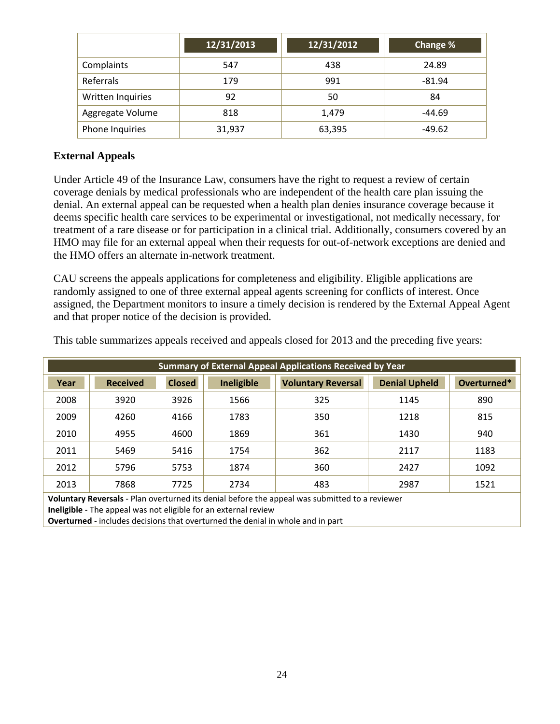|                   | 12/31/2013 | 12/31/2012 | Change % |
|-------------------|------------|------------|----------|
| Complaints        | 547        | 438        | 24.89    |
| Referrals         | 179        | 991        | $-81.94$ |
| Written Inquiries | 92         | 50         | 84       |
| Aggregate Volume  | 818        | 1,479      | $-44.69$ |
| Phone Inquiries   | 31,937     | 63,395     | $-49.62$ |

#### **External Appeals**

Under Article 49 of the Insurance Law, consumers have the right to request a review of certain coverage denials by medical professionals who are independent of the health care plan issuing the denial. An external appeal can be requested when a health plan denies insurance coverage because it deems specific health care services to be experimental or investigational, not medically necessary, for treatment of a rare disease or for participation in a clinical trial. Additionally, consumers covered by an HMO may file for an external appeal when their requests for out-of-network exceptions are denied and the HMO offers an alternate in-network treatment.

CAU screens the appeals applications for completeness and eligibility. Eligible applications are randomly assigned to one of three external appeal agents screening for conflicts of interest. Once assigned, the Department monitors to insure a timely decision is rendered by the External Appeal Agent and that proper notice of the decision is provided.

This table summarizes appeals received and appeals closed for 2013 and the preceding five years:

| <b>Summary of External Appeal Applications Received by Year</b>                                                                                                          |                 |               |                   |                           |                      |             |  |
|--------------------------------------------------------------------------------------------------------------------------------------------------------------------------|-----------------|---------------|-------------------|---------------------------|----------------------|-------------|--|
| Year                                                                                                                                                                     | <b>Received</b> | <b>Closed</b> | <b>Ineligible</b> | <b>Voluntary Reversal</b> | <b>Denial Upheld</b> | Overturned* |  |
| 2008                                                                                                                                                                     | 3920            | 3926          | 1566              | 325                       | 1145                 | 890         |  |
| 2009                                                                                                                                                                     | 4260            | 4166          | 1783              | 350                       | 1218                 | 815         |  |
| 2010                                                                                                                                                                     | 4955            | 4600          | 1869              | 361                       | 1430                 | 940         |  |
| 2011                                                                                                                                                                     | 5469            | 5416          | 1754              | 362                       | 2117                 | 1183        |  |
| 2012                                                                                                                                                                     | 5796            | 5753          | 1874              | 360                       | 2427                 | 1092        |  |
| 2013                                                                                                                                                                     | 7868            | 7725          | 2734              | 483                       | 2987                 | 1521        |  |
| Voluntary Reversals - Plan overturned its denial before the appeal was submitted to a reviewer<br><b>Ineligible</b> - The appeal was not eligible for an external review |                 |               |                   |                           |                      |             |  |

**Overturned** ‐ includes decisions that overturned the denial in whole and in part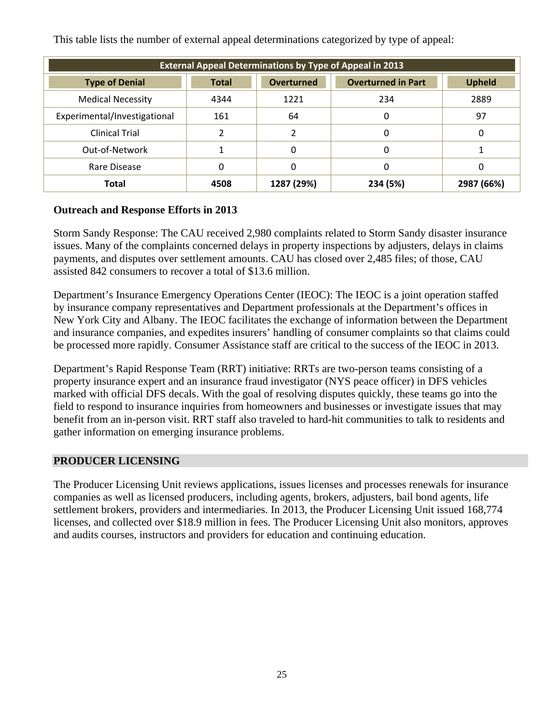This table lists the number of external appeal determinations categorized by type of appeal:

| <b>External Appeal Determinations by Type of Appeal in 2013</b> |              |                   |                           |               |  |  |  |
|-----------------------------------------------------------------|--------------|-------------------|---------------------------|---------------|--|--|--|
| <b>Type of Denial</b>                                           | <b>Total</b> | <b>Overturned</b> | <b>Overturned in Part</b> | <b>Upheld</b> |  |  |  |
| <b>Medical Necessity</b>                                        | 4344         | 1221              | 234                       | 2889          |  |  |  |
| Experimental/Investigational                                    | 161          | 64                | 0                         | 97            |  |  |  |
| <b>Clinical Trial</b>                                           |              |                   | 0                         | 0             |  |  |  |
| Out-of-Network                                                  |              | 0                 | 0                         |               |  |  |  |
| Rare Disease                                                    | 0            | 0                 | 0                         | 0             |  |  |  |
| <b>Total</b>                                                    | 4508         | 1287 (29%)        | 234 (5%)                  | 2987 (66%)    |  |  |  |

# **Outreach and Response Efforts in 2013**

Storm Sandy Response: The CAU received 2,980 complaints related to Storm Sandy disaster insurance issues. Many of the complaints concerned delays in property inspections by adjusters, delays in claims payments, and disputes over settlement amounts. CAU has closed over 2,485 files; of those, CAU assisted 842 consumers to recover a total of \$13.6 million.

Department's Insurance Emergency Operations Center (IEOC): The IEOC is a joint operation staffed by insurance company representatives and Department professionals at the Department's offices in New York City and Albany. The IEOC facilitates the exchange of information between the Department and insurance companies, and expedites insurers' handling of consumer complaints so that claims could be processed more rapidly. Consumer Assistance staff are critical to the success of the IEOC in 2013.

Department's Rapid Response Team (RRT) initiative: RRTs are two-person teams consisting of a property insurance expert and an insurance fraud investigator (NYS peace officer) in DFS vehicles marked with official DFS decals. With the goal of resolving disputes quickly, these teams go into the field to respond to insurance inquiries from homeowners and businesses or investigate issues that may benefit from an in-person visit. RRT staff also traveled to hard-hit communities to talk to residents and gather information on emerging insurance problems.

## **PRODUCER LICENSING**

The Producer Licensing Unit reviews applications, issues licenses and processes renewals for insurance companies as well as licensed producers, including agents, brokers, adjusters, bail bond agents, life settlement brokers, providers and intermediaries. In 2013, the Producer Licensing Unit issued 168,774 licenses, and collected over \$18.9 million in fees. The Producer Licensing Unit also monitors, approves and audits courses, instructors and providers for education and continuing education.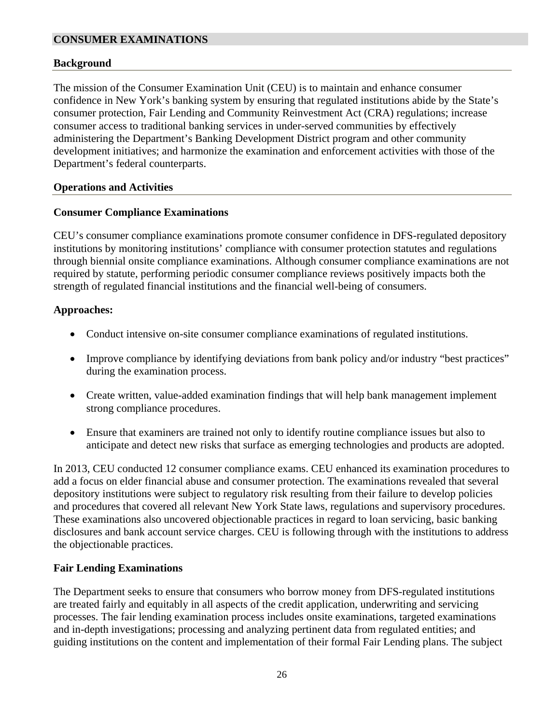#### <span id="page-26-0"></span>**CONSUMER EXAMINATIONS**

#### **Background**

The mission of the Consumer Examination Unit (CEU) is to maintain and enhance consumer confidence in New York's banking system by ensuring that regulated institutions abide by the State's consumer protection, Fair Lending and Community Reinvestment Act (CRA) regulations; increase consumer access to traditional banking services in under-served communities by effectively administering the Department's Banking Development District program and other community development initiatives; and harmonize the examination and enforcement activities with those of the Department's federal counterparts.

#### **Operations and Activities**

#### **Consumer Compliance Examinations**

CEU's consumer compliance examinations promote consumer confidence in DFS-regulated depository institutions by monitoring institutions' compliance with consumer protection statutes and regulations through biennial onsite compliance examinations. Although consumer compliance examinations are not required by statute, performing periodic consumer compliance reviews positively impacts both the strength of regulated financial institutions and the financial well-being of consumers.

#### **Approaches:**

- Conduct intensive on-site consumer compliance examinations of regulated institutions.
- Improve compliance by identifying deviations from bank policy and/or industry "best practices" during the examination process.
- Create written, value-added examination findings that will help bank management implement strong compliance procedures.
- Ensure that examiners are trained not only to identify routine compliance issues but also to anticipate and detect new risks that surface as emerging technologies and products are adopted.

In 2013, CEU conducted 12 consumer compliance exams. CEU enhanced its examination procedures to add a focus on elder financial abuse and consumer protection. The examinations revealed that several depository institutions were subject to regulatory risk resulting from their failure to develop policies and procedures that covered all relevant New York State laws, regulations and supervisory procedures. These examinations also uncovered objectionable practices in regard to loan servicing, basic banking disclosures and bank account service charges. CEU is following through with the institutions to address the objectionable practices.

## **Fair Lending Examinations**

The Department seeks to ensure that consumers who borrow money from DFS-regulated institutions are treated fairly and equitably in all aspects of the credit application, underwriting and servicing processes. The fair lending examination process includes onsite examinations, targeted examinations and in-depth investigations; processing and analyzing pertinent data from regulated entities; and guiding institutions on the content and implementation of their formal Fair Lending plans. The subject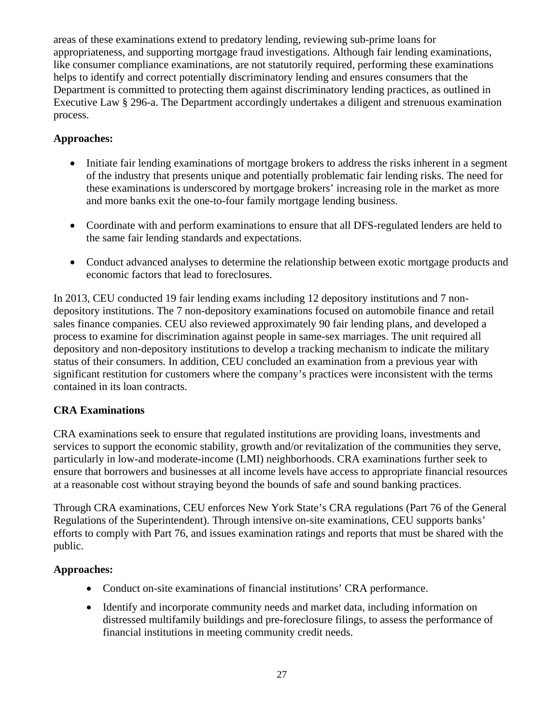<span id="page-27-0"></span>areas of these examinations extend to predatory lending, reviewing sub-prime loans for appropriateness, and supporting mortgage fraud investigations. Although fair lending examinations, like consumer compliance examinations, are not statutorily required, performing these examinations helps to identify and correct potentially discriminatory lending and ensures consumers that the Department is committed to protecting them against discriminatory lending practices, as outlined in Executive Law § 296-a. The Department accordingly undertakes a diligent and strenuous examination process.

# **Approaches:**

- Initiate fair lending examinations of mortgage brokers to address the risks inherent in a segment of the industry that presents unique and potentially problematic fair lending risks. The need for these examinations is underscored by mortgage brokers' increasing role in the market as more and more banks exit the one-to-four family mortgage lending business.
- Coordinate with and perform examinations to ensure that all DFS-regulated lenders are held to the same fair lending standards and expectations.
- Conduct advanced analyses to determine the relationship between exotic mortgage products and economic factors that lead to foreclosures.

In 2013, CEU conducted 19 fair lending exams including 12 depository institutions and 7 nondepository institutions. The 7 non-depository examinations focused on automobile finance and retail sales finance companies. CEU also reviewed approximately 90 fair lending plans, and developed a process to examine for discrimination against people in same-sex marriages. The unit required all depository and non-depository institutions to develop a tracking mechanism to indicate the military status of their consumers. In addition, CEU concluded an examination from a previous year with significant restitution for customers where the company's practices were inconsistent with the terms contained in its loan contracts.

# **CRA Examinations**

CRA examinations seek to ensure that regulated institutions are providing loans, investments and services to support the economic stability, growth and/or revitalization of the communities they serve, particularly in low-and moderate-income (LMI) neighborhoods. CRA examinations further seek to ensure that borrowers and businesses at all income levels have access to appropriate financial resources at a reasonable cost without straying beyond the bounds of safe and sound banking practices.

Through CRA examinations, CEU enforces New York State's CRA regulations (Part 76 of the General Regulations of the Superintendent). Through intensive on-site examinations, CEU supports banks' efforts to comply with Part 76, and issues examination ratings and reports that must be shared with the public.

## **Approaches:**

- Conduct on-site examinations of financial institutions' CRA performance.
- Identify and incorporate community needs and market data, including information on distressed multifamily buildings and pre-foreclosure filings, to assess the performance of financial institutions in meeting community credit needs.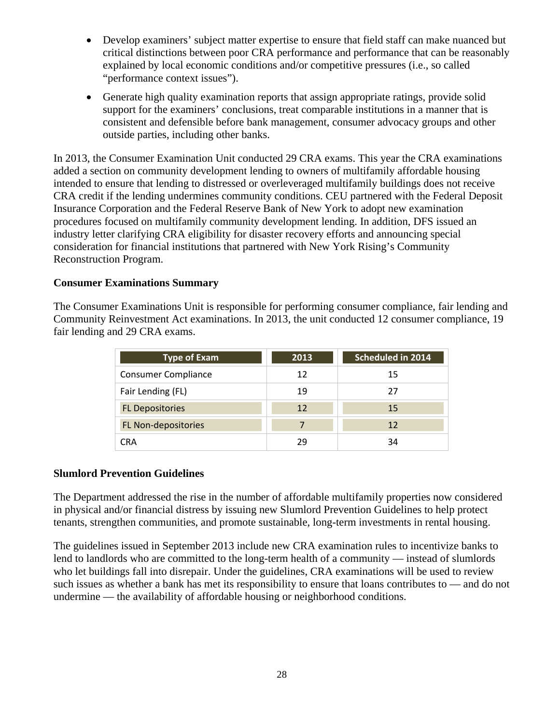- Develop examiners' subject matter expertise to ensure that field staff can make nuanced but critical distinctions between poor CRA performance and performance that can be reasonably explained by local economic conditions and/or competitive pressures (i.e., so called "performance context issues").
- Generate high quality examination reports that assign appropriate ratings, provide solid support for the examiners' conclusions, treat comparable institutions in a manner that is consistent and defensible before bank management, consumer advocacy groups and other outside parties, including other banks.

In 2013, the Consumer Examination Unit conducted 29 CRA exams. This year the CRA examinations added a section on community development lending to owners of multifamily affordable housing intended to ensure that lending to distressed or overleveraged multifamily buildings does not receive CRA credit if the lending undermines community conditions. CEU partnered with the Federal Deposit Insurance Corporation and the Federal Reserve Bank of New York to adopt new examination procedures focused on multifamily community development lending. In addition, DFS issued an industry letter clarifying CRA eligibility for disaster recovery efforts and announcing special consideration for financial institutions that partnered with New York Rising's Community Reconstruction Program.

#### **Consumer Examinations Summary**

The Consumer Examinations Unit is responsible for performing consumer compliance, fair lending and Community Reinvestment Act examinations. In 2013, the unit conducted 12 consumer compliance, 19 fair lending and 29 CRA exams.

| <b>Type of Exam</b>        | 2013 | Scheduled in 2014 |
|----------------------------|------|-------------------|
| <b>Consumer Compliance</b> | 12   | 15                |
| Fair Lending (FL)          | 19   | 27                |
| <b>FL Depositories</b>     | 12   | 15                |
| FL Non-depositories        |      | 12                |
| CRA                        | 29   | 34                |

#### **Slumlord Prevention Guidelines**

The Department addressed the rise in the number of affordable multifamily properties now considered in physical and/or financial distress by issuing new Slumlord Prevention Guidelines to help protect tenants, strengthen communities, and promote sustainable, long-term investments in rental housing.

The guidelines issued in September 2013 include new CRA examination rules to incentivize banks to lend to landlords who are committed to the long-term health of a community — instead of slumlords who let buildings fall into disrepair. Under the guidelines, CRA examinations will be used to review such issues as whether a bank has met its responsibility to ensure that loans contributes to — and do not undermine — the availability of affordable housing or neighborhood conditions.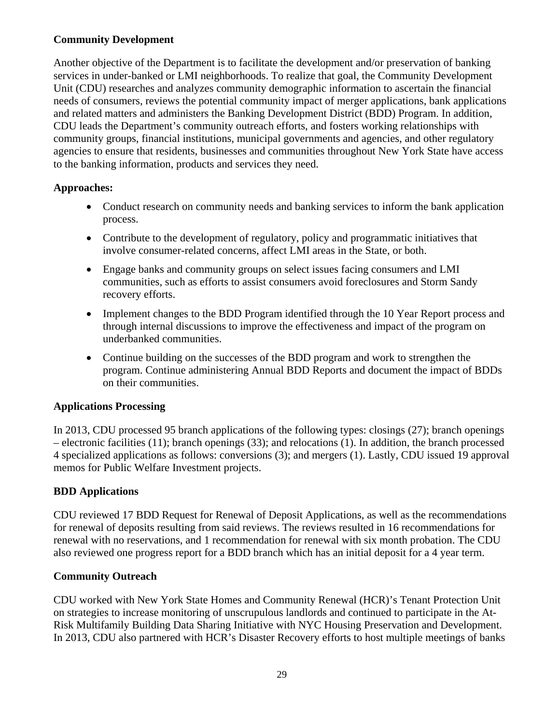# <span id="page-29-0"></span>**Community Development**

Another objective of the Department is to facilitate the development and/or preservation of banking services in under-banked or LMI neighborhoods. To realize that goal, the Community Development Unit (CDU) researches and analyzes community demographic information to ascertain the financial needs of consumers, reviews the potential community impact of merger applications, bank applications and related matters and administers the Banking Development District (BDD) Program. In addition, CDU leads the Department's community outreach efforts, and fosters working relationships with community groups, financial institutions, municipal governments and agencies, and other regulatory agencies to ensure that residents, businesses and communities throughout New York State have access to the banking information, products and services they need.

# **Approaches:**

- Conduct research on community needs and banking services to inform the bank application process.
- Contribute to the development of regulatory, policy and programmatic initiatives that involve consumer-related concerns, affect LMI areas in the State, or both.
- Engage banks and community groups on select issues facing consumers and LMI communities, such as efforts to assist consumers avoid foreclosures and Storm Sandy recovery efforts.
- Implement changes to the BDD Program identified through the 10 Year Report process and through internal discussions to improve the effectiveness and impact of the program on underbanked communities.
- Continue building on the successes of the BDD program and work to strengthen the program. Continue administering Annual BDD Reports and document the impact of BDDs on their communities.

# **Applications Processing**

In 2013, CDU processed 95 branch applications of the following types: closings (27); branch openings – electronic facilities (11); branch openings (33); and relocations (1). In addition, the branch processed 4 specialized applications as follows: conversions (3); and mergers (1). Lastly, CDU issued 19 approval memos for Public Welfare Investment projects.

# **BDD Applications**

CDU reviewed 17 BDD Request for Renewal of Deposit Applications, as well as the recommendations for renewal of deposits resulting from said reviews. The reviews resulted in 16 recommendations for renewal with no reservations, and 1 recommendation for renewal with six month probation. The CDU also reviewed one progress report for a BDD branch which has an initial deposit for a 4 year term.

# **Community Outreach**

CDU worked with New York State Homes and Community Renewal (HCR)'s Tenant Protection Unit on strategies to increase monitoring of unscrupulous landlords and continued to participate in the At-Risk Multifamily Building Data Sharing Initiative with NYC Housing Preservation and Development. In 2013, CDU also partnered with HCR's Disaster Recovery efforts to host multiple meetings of banks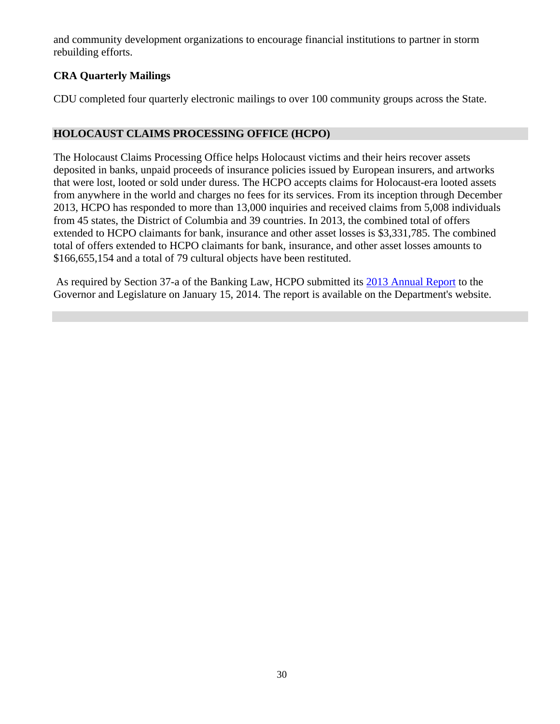<span id="page-30-0"></span>and community development organizations to encourage financial institutions to partner in storm rebuilding efforts.

# **CRA Quarterly Mailings**

CDU completed four quarterly electronic mailings to over 100 community groups across the State.

# **HOLOCAUST CLAIMS PROCESSING OFFICE (HCPO)**

The Holocaust Claims Processing Office helps Holocaust victims and their heirs recover assets deposited in banks, unpaid proceeds of insurance policies issued by European insurers, and artworks that were lost, looted or sold under duress. The HCPO accepts claims for Holocaust-era looted assets from anywhere in the world and charges no fees for its services. From its inception through December 2013, HCPO has responded to more than 13,000 inquiries and received claims from 5,008 individuals from 45 states, the District of Columbia and 39 countries. In 2013, the combined total of offers extended to HCPO claimants for bank, insurance and other asset losses is \$3,331,785. The combined total of offers extended to HCPO claimants for bank, insurance, and other asset losses amounts to \$166,655,154 and a total of 79 cultural objects have been restituted.

 As required by Section 37-a of the Banking Law, HCPO submitted its 2013 Annual Report to the Governor and Legislature on January 15, 2014. The report is available on the Department's website.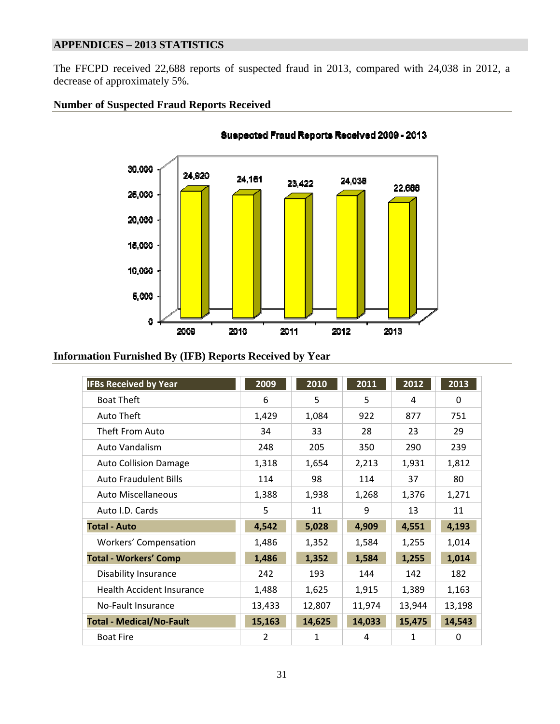# **APPENDICES – 2013 STATISTICS**

The FFCPD received 22,688 reports of suspected fraud in 2013, compared with 24,038 in 2012, a decrease of approximately 5%.

#### **Number of Suspected Fraud Reports Received**



Suspected Fraud Reports Received 2009 - 2013

#### **Information Furnished By (IFB) Reports Received by Year**

| <b>IFBs Received by Year</b>     | 2009           | 2010   | 2011   | 2012   | 2013     |
|----------------------------------|----------------|--------|--------|--------|----------|
| <b>Boat Theft</b>                | 6              | 5      | 5      | 4      | 0        |
| Auto Theft                       | 1,429          | 1,084  | 922    | 877    | 751      |
| Theft From Auto                  | 34             | 33     | 28     | 23     | 29       |
| Auto Vandalism                   | 248            | 205    | 350    | 290    | 239      |
| <b>Auto Collision Damage</b>     | 1,318          | 1,654  | 2,213  | 1,931  | 1,812    |
| <b>Auto Fraudulent Bills</b>     | 114            | 98     | 114    | 37     | 80       |
| <b>Auto Miscellaneous</b>        | 1,388          | 1,938  | 1,268  | 1,376  | 1,271    |
| Auto I.D. Cards                  | 5              | 11     | 9      | 13     | 11       |
| <b>Total - Auto</b>              | 4,542          | 5,028  | 4,909  | 4,551  | 4,193    |
| <b>Workers' Compensation</b>     | 1,486          | 1,352  | 1,584  | 1,255  | 1,014    |
| <b>Total - Workers' Comp</b>     | 1,486          | 1,352  | 1,584  | 1,255  | 1,014    |
| Disability Insurance             | 242            | 193    | 144    | 142    | 182      |
| <b>Health Accident Insurance</b> | 1,488          | 1,625  | 1,915  | 1,389  | 1,163    |
| No-Fault Insurance               | 13,433         | 12,807 | 11,974 | 13,944 | 13,198   |
| <b>Total - Medical/No-Fault</b>  | 15,163         | 14,625 | 14,033 | 15,475 | 14,543   |
| <b>Boat Fire</b>                 | $\overline{2}$ | 1      | 4      | 1      | $\Omega$ |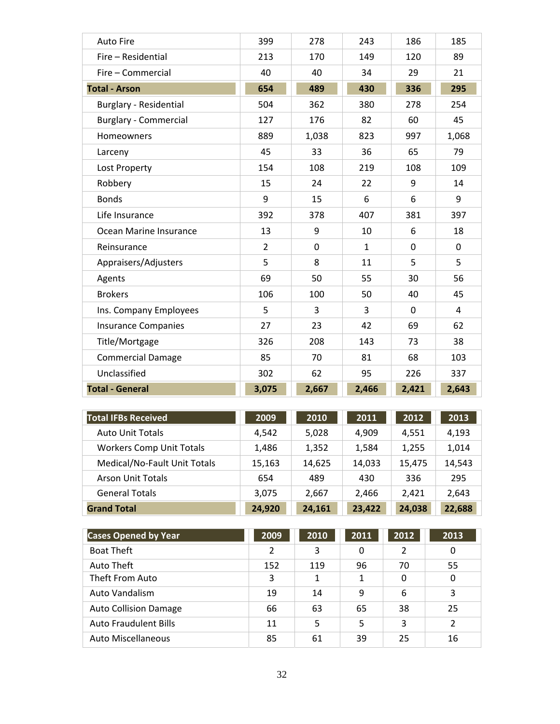| <b>Auto Fire</b>             | 399            | 278         | 243          | 186          | 185   |
|------------------------------|----------------|-------------|--------------|--------------|-------|
| Fire - Residential           | 213            | 170         | 149          | 120          | 89    |
| Fire - Commercial            | 40             | 40          | 34           | 29           | 21    |
| <b>Total - Arson</b>         | 654            | 489         | 430          | 336          | 295   |
| Burglary - Residential       | 504            | 362         | 380          | 278          | 254   |
| <b>Burglary - Commercial</b> | 127            | 176         | 82           | 60           | 45    |
| Homeowners                   | 889            | 1,038       | 823          | 997          | 1,068 |
| Larceny                      | 45             | 33          | 36           | 65           | 79    |
| Lost Property                | 154            | 108         | 219          | 108          | 109   |
| Robbery                      | 15             | 24          | 22           | 9            | 14    |
| <b>Bonds</b>                 | 9              | 15          | 6            | 6            | 9     |
| Life Insurance               | 392            | 378         | 407          | 381          | 397   |
| Ocean Marine Insurance       | 13             | 9           | 10           | 6            | 18    |
| Reinsurance                  | $\overline{2}$ | $\mathbf 0$ | $\mathbf{1}$ | $\mathbf{0}$ | 0     |
| Appraisers/Adjusters         | 5              | 8           | 11           | 5            | 5     |
| Agents                       | 69             | 50          | 55           | 30           | 56    |
| <b>Brokers</b>               | 106            | 100         | 50           | 40           | 45    |
| Ins. Company Employees       | 5              | 3           | 3            | $\Omega$     | 4     |
| <b>Insurance Companies</b>   | 27             | 23          | 42           | 69           | 62    |
| Title/Mortgage               | 326            | 208         | 143          | 73           | 38    |
| <b>Commercial Damage</b>     | 85             | 70          | 81           | 68           | 103   |
| Unclassified                 | 302            | 62          | 95           | 226          | 337   |
| <b>Total - General</b>       | 3,075          | 2,667       | 2,466        | 2,421        | 2,643 |

| <b>Total IFBs Received</b>      | 2009   | 2010   | 2011   | 2012   | 2013   |
|---------------------------------|--------|--------|--------|--------|--------|
| <b>Auto Unit Totals</b>         | 4,542  | 5,028  | 4,909  | 4,551  | 4,193  |
| <b>Workers Comp Unit Totals</b> | 1,486  | 1,352  | 1,584  | 1,255  | 1,014  |
| Medical/No-Fault Unit Totals    | 15,163 | 14,625 | 14,033 | 15,475 | 14,543 |
| <b>Arson Unit Totals</b>        | 654    | 489    | 430    | 336    | 295    |
| <b>General Totals</b>           | 3.075  | 2,667  | 2.466  | 2.421  | 2,643  |
| <b>Grand Total</b>              | 24,920 | 24,161 | 23,422 | 24,038 | 22,688 |

| <b>Cases Opened by Year</b>  | 2009 | 2010 | 2011 | 2012 | 2013 |
|------------------------------|------|------|------|------|------|
| <b>Boat Theft</b>            | 2    | 3    | 0    | 2    | 0    |
| Auto Theft                   | 152  | 119  | 96   | 70   | 55   |
| Theft From Auto              | 3    |      | 1    | 0    | 0    |
| Auto Vandalism               | 19   | 14   | 9    | 6    | 3    |
| <b>Auto Collision Damage</b> | 66   | 63   | 65   | 38   | 25   |
| <b>Auto Fraudulent Bills</b> | 11   | 5    | 5    | 3    | 2    |
| <b>Auto Miscellaneous</b>    | 85   | 61   | 39   | 25   | 16   |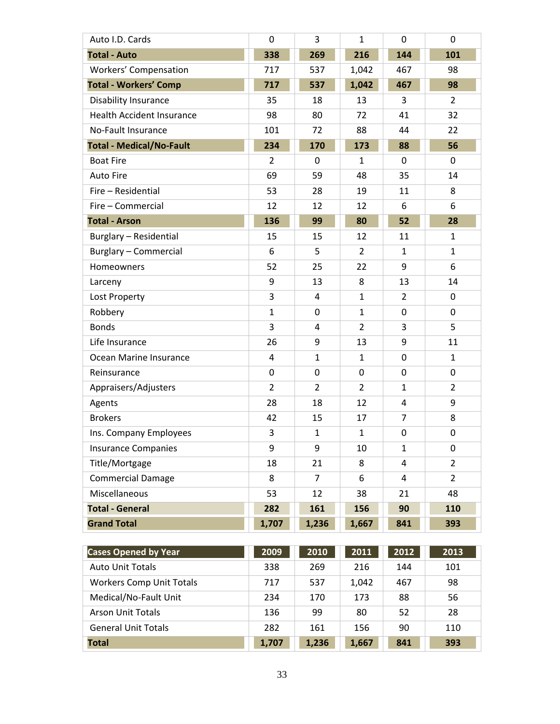| Auto I.D. Cards                  | $\mathbf 0$    | 3              | $\mathbf{1}$   | 0              | 0              |
|----------------------------------|----------------|----------------|----------------|----------------|----------------|
| <b>Total - Auto</b>              | 338            | 269            | 216            | 144            | 101            |
| Workers' Compensation            | 717            | 537            | 1,042          | 467            | 98             |
| <b>Total - Workers' Comp</b>     | 717            | 537            | 1,042          | 467            | 98             |
| <b>Disability Insurance</b>      | 35             | 18             | 13             | 3              | $\overline{2}$ |
| <b>Health Accident Insurance</b> | 98             | 80             | 72             | 41             | 32             |
| No-Fault Insurance               | 101            | 72             | 88             | 44             | 22             |
| <b>Total - Medical/No-Fault</b>  | 234            | 170            | 173            | 88             | 56             |
| <b>Boat Fire</b>                 | $\overline{2}$ | $\Omega$       | $\mathbf{1}$   | $\Omega$       | $\mathbf 0$    |
| <b>Auto Fire</b>                 | 69             | 59             | 48             | 35             | 14             |
| Fire - Residential               | 53             | 28             | 19             | 11             | 8              |
| Fire - Commercial                | 12             | 12             | 12             | 6              | 6              |
| <b>Total - Arson</b>             | 136            | 99             | 80             | 52             | 28             |
| <b>Burglary - Residential</b>    | 15             | 15             | 12             | 11             | $\mathbf{1}$   |
| <b>Burglary - Commercial</b>     | 6              | 5              | $\overline{2}$ | $\mathbf{1}$   | $\mathbf{1}$   |
| Homeowners                       | 52             | 25             | 22             | 9              | 6              |
| Larceny                          | 9              | 13             | 8              | 13             | 14             |
| Lost Property                    | 3              | 4              | $\mathbf{1}$   | $\overline{2}$ | 0              |
| Robbery                          | $\mathbf{1}$   | 0              | $\mathbf{1}$   | 0              | 0              |
| <b>Bonds</b>                     | 3              | 4              | $\overline{2}$ | 3              | 5              |
| Life Insurance                   | 26             | 9              | 13             | 9              | 11             |
| Ocean Marine Insurance           | 4              | $\mathbf{1}$   | $\mathbf{1}$   | 0              | $\mathbf{1}$   |
| Reinsurance                      | 0              | 0              | 0              | 0              | 0              |
| Appraisers/Adjusters             | $\overline{2}$ | $\overline{2}$ | $\overline{2}$ | $\mathbf{1}$   | $\overline{2}$ |
| Agents                           | 28             | 18             | 12             | 4              | 9              |
| <b>Brokers</b>                   | 42             | 15             | 17             | 7              | 8              |
| Ins. Company Employees           | 3              | $\mathbf{1}$   | $\mathbf{1}$   | 0              | 0              |
| <b>Insurance Companies</b>       | 9              | 9              | 10             | $\mathbf{1}$   | 0              |
| Title/Mortgage                   | 18             | 21             | 8              | 4              | $\overline{2}$ |
| <b>Commercial Damage</b>         | 8              | $\overline{7}$ | 6              | 4              | $\overline{2}$ |
| Miscellaneous                    | 53             | 12             | 38             | 21             | 48             |
| <b>Total - General</b>           | 282            | 161            | 156            | 90             | 110            |
| <b>Grand Total</b>               | 1,707          | 1,236          | 1,667          | 841            | 393            |

| <b>Cases Opened by Year</b>     | 2009  | 2010  | 2011  | 2012 | 2013 |
|---------------------------------|-------|-------|-------|------|------|
| <b>Auto Unit Totals</b>         | 338   | 269   | 216   | 144  | 101  |
| <b>Workers Comp Unit Totals</b> | 717   | 537   | 1,042 | 467  | 98   |
| Medical/No-Fault Unit           | 234   | 170   | 173   | 88   | 56   |
| Arson Unit Totals               | 136   | 99    | 80    | 52   | 28   |
| <b>General Unit Totals</b>      | 282   | 161   | 156   | 90   | 110  |
| <b>Total</b>                    | 1,707 | 1,236 | 1,667 | 841  | 393  |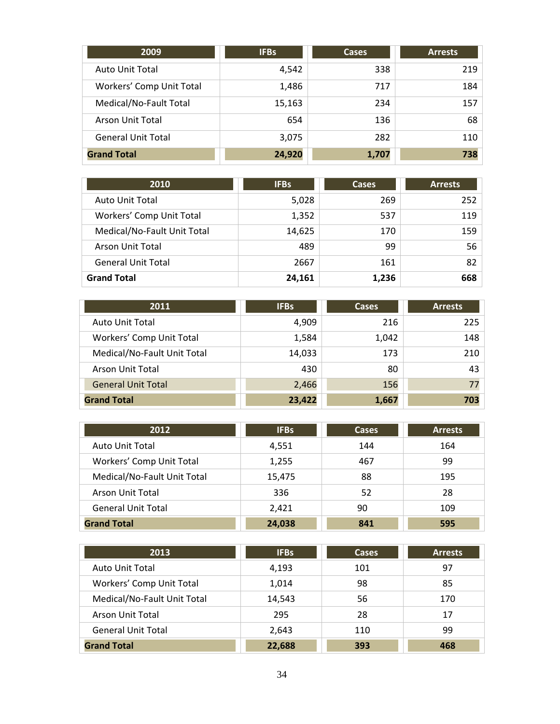| 2009                      | <b>IFBs</b> | <b>Cases</b> | <b>Arrests</b> |
|---------------------------|-------------|--------------|----------------|
| <b>Auto Unit Total</b>    | 4,542       | 338          | 219            |
| Workers' Comp Unit Total  | 1,486       | 717          | 184            |
| Medical/No-Fault Total    | 15,163      | 234          | 157            |
| <b>Arson Unit Total</b>   | 654         | 136          | 68             |
| <b>General Unit Total</b> | 3,075       | 282          | 110            |
| <b>Grand Total</b>        | 24,920      | 1,707        | 738            |

| 2010                        | <b>IFBs</b> | <b>Cases</b> | <b>Arrests</b> |
|-----------------------------|-------------|--------------|----------------|
| <b>Auto Unit Total</b>      | 5,028       | 269          | 252            |
| Workers' Comp Unit Total    | 1,352       | 537          | 119            |
| Medical/No-Fault Unit Total | 14,625      | 170          | 159            |
| Arson Unit Total            | 489         | 99           | 56             |
| <b>General Unit Total</b>   | 2667        | 161          | 82             |
| <b>Grand Total</b>          | 24,161      | 1,236        | 668            |

| 2011                        | <b>IFBs</b> | Cases | <b>Arrests</b> |
|-----------------------------|-------------|-------|----------------|
| <b>Auto Unit Total</b>      | 4,909       | 216   | 225            |
| Workers' Comp Unit Total    | 1,584       | 1,042 | 148            |
| Medical/No-Fault Unit Total | 14,033      | 173   | 210            |
| <b>Arson Unit Total</b>     | 430         | 80    | 43             |
| <b>General Unit Total</b>   | 2,466       | 156   | 77             |
| <b>Grand Total</b>          | 23,422      | 1,667 | 703            |

| 2012                        | <b>IFBs</b> | <b>Cases</b> | <b>Arrests</b> |
|-----------------------------|-------------|--------------|----------------|
| <b>Auto Unit Total</b>      | 4,551       | 144          | 164            |
| Workers' Comp Unit Total    | 1,255       | 467          | 99             |
| Medical/No-Fault Unit Total | 15,475      | 88           | 195            |
| <b>Arson Unit Total</b>     | 336         | 52           | 28             |
| <b>General Unit Total</b>   | 2.421       | 90           | 109            |
| <b>Grand Total</b>          | 24,038      | 841          | 595            |

| 2013                        | <b>IFBs</b> | <b>Cases</b> | <b>Arrests</b> |
|-----------------------------|-------------|--------------|----------------|
| Auto Unit Total             | 4,193       | 101          | 97             |
| Workers' Comp Unit Total    | 1,014       | 98           | 85             |
| Medical/No-Fault Unit Total | 14,543      | 56           | 170            |
| Arson Unit Total            | 295         | 28           | 17             |
| <b>General Unit Total</b>   | 2,643       | 110          | 99             |
| <b>Grand Total</b>          | 22,688      | 393          | 468            |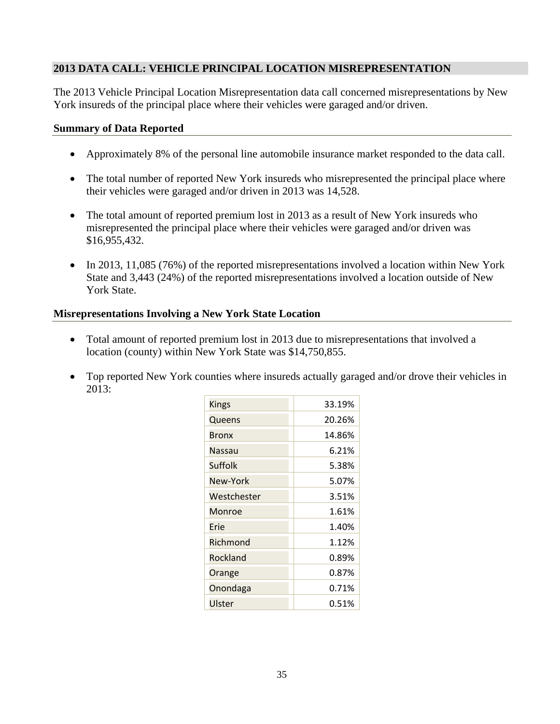## **2013 DATA CALL: VEHICLE PRINCIPAL LOCATION MISREPRESENTATION**

The 2013 Vehicle Principal Location Misrepresentation data call concerned misrepresentations by New York insureds of the principal place where their vehicles were garaged and/or driven.

#### **Summary of Data Reported**

- Approximately 8% of the personal line automobile insurance market responded to the data call.
- The total number of reported New York insureds who misrepresented the principal place where their vehicles were garaged and/or driven in 2013 was 14,528.
- The total amount of reported premium lost in 2013 as a result of New York insureds who misrepresented the principal place where their vehicles were garaged and/or driven was \$16,955,432.
- In 2013, 11,085 (76%) of the reported misrepresentations involved a location within New York State and 3,443 (24%) of the reported misrepresentations involved a location outside of New York State.

#### **Misrepresentations Involving a New York State Location**

- Total amount of reported premium lost in 2013 due to misrepresentations that involved a location (county) within New York State was \$14,750,855.
- Top reported New York counties where insureds actually garaged and/or drove their vehicles in 2013:

| <b>Kings</b> | 33.19% |
|--------------|--------|
| Queens       | 20.26% |
| Bronx        | 14.86% |
| Nassau       | 6.21%  |
| Suffolk      | 5.38%  |
| New-York     | 5.07%  |
| Westchester  | 3.51%  |
| Monroe       | 1.61%  |
| Frie         | 1.40%  |
| Richmond     | 1.12%  |
| Rockland     | 0.89%  |
| Orange       | 0.87%  |
| Onondaga     | 0.71%  |
| Ulster       | 0.51%  |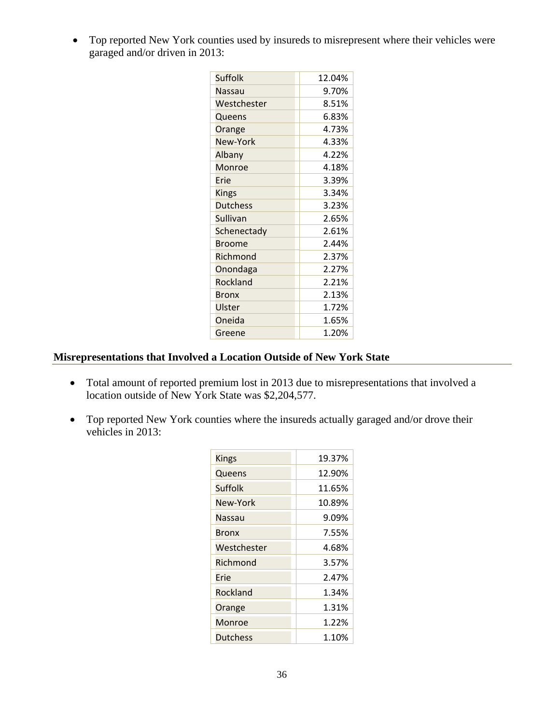Top reported New York counties used by insureds to misrepresent where their vehicles were garaged and/or driven in 2013:

| Suffolk         | 12.04% |
|-----------------|--------|
|                 |        |
| Nassau          | 9.70%  |
| Westchester     | 8.51%  |
| Queens          | 6.83%  |
| Orange          | 4.73%  |
| New-York        | 4.33%  |
| Albany          | 4.22%  |
| Monroe          | 4.18%  |
| Frie            | 3.39%  |
| <b>Kings</b>    | 3.34%  |
| <b>Dutchess</b> | 3.23%  |
| Sullivan        | 2.65%  |
| Schenectady     | 2.61%  |
| <b>Broome</b>   | 2.44%  |
| Richmond        | 2.37%  |
| Onondaga        | 2.27%  |
| Rockland        | 2.21%  |
| Bronx           | 2.13%  |
| Ulster          | 1.72%  |
| Oneida          | 1.65%  |
| Greene          | 1.20%  |

# **Misrepresentations that Involved a Location Outside of New York State**

- Total amount of reported premium lost in 2013 due to misrepresentations that involved a location outside of New York State was \$2,204,577.
- Top reported New York counties where the insureds actually garaged and/or drove their vehicles in 2013:

| Kings           | 19.37% |
|-----------------|--------|
| Queens          | 12.90% |
| <b>Suffolk</b>  | 11.65% |
| New-York        | 10.89% |
| Nassau          | 9.09%  |
| <b>Bronx</b>    | 7.55%  |
| Westchester     | 4.68%  |
| Richmond        | 3.57%  |
| Erie            | 2.47%  |
| Rockland        | 1.34%  |
| Orange          | 1.31%  |
| Monroe          | 1.22%  |
| <b>Dutchess</b> | 1.10%  |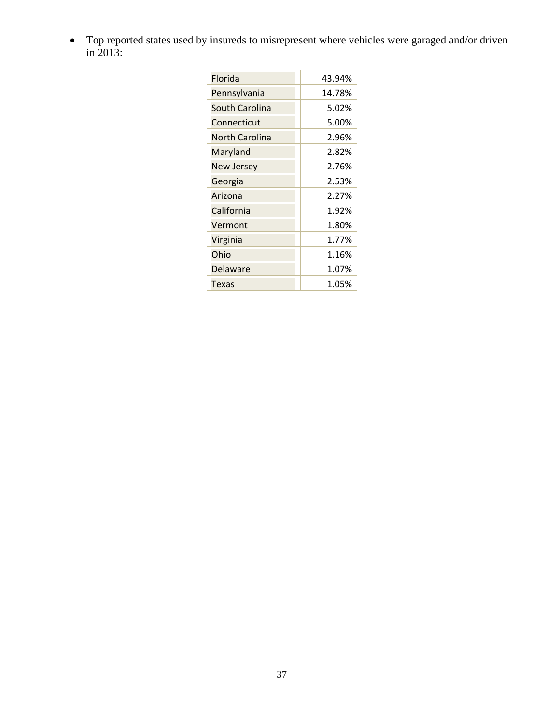Top reported states used by insureds to misrepresent where vehicles were garaged and/or driven in 2013:

| Florida               | 43.94% |
|-----------------------|--------|
| Pennsylvania          | 14.78% |
| <b>South Carolina</b> | 5.02%  |
| Connecticut           | 5.00%  |
| <b>North Carolina</b> | 2.96%  |
| Maryland              | 2.82%  |
| <b>New Jersey</b>     | 2.76%  |
| Georgia               | 2.53%  |
| Arizona               | 2.27%  |
| California            | 1.92%  |
| Vermont               | 1.80%  |
| Virginia              | 1.77%  |
| Ohio                  | 1.16%  |
| <b>Delaware</b>       | 1.07%  |
| Texas                 | 1.05%  |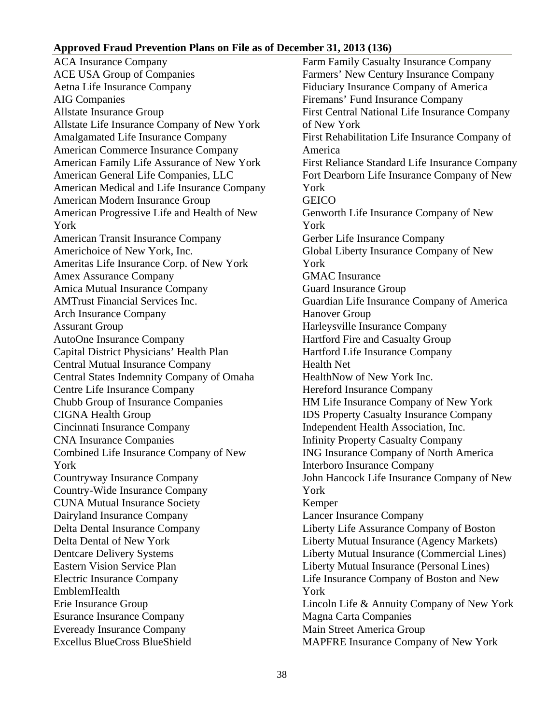#### <span id="page-38-0"></span>**Approved Fraud Prevention Plans on File as of December 31, 2013 (136)**

 EmblemHealth ACA Insurance Company ACE USA Group of Companies Aetna Life Insurance Company AIG Companies Allstate Insurance Group Allstate Life Insurance Company of New York Amalgamated Life Insurance Company American Commerce Insurance Company American Family Life Assurance of New York American General Life Companies, LLC American Medical and Life Insurance Company American Modern Insurance Group American Progressive Life and Health of New York American Transit Insurance Company Americhoice of New York, Inc. Ameritas Life Insurance Corp. of New York Amex Assurance Company Amica Mutual Insurance Company AMTrust Financial Services Inc. Arch Insurance Company Assurant Group AutoOne Insurance Company Capital District Physicians' Health Plan Central Mutual Insurance Company Central States Indemnity Company of Omaha Centre Life Insurance Company Chubb Group of Insurance Companies CIGNA Health Group Cincinnati Insurance Company CNA Insurance Companies Combined Life Insurance Company of New York Countryway Insurance Company Country-Wide Insurance Company CUNA Mutual Insurance Society Dairyland Insurance Company Delta Dental Insurance Company Delta Dental of New York Dentcare Delivery Systems Eastern Vision Service Plan Electric Insurance Company Erie Insurance Group Esurance Insurance Company Eveready Insurance Company Excellus BlueCross BlueShield

Farm Family Casualty Insurance Company Farmers' New Century Insurance Company Fiduciary Insurance Company of America Firemans' Fund Insurance Company First Central National Life Insurance Company of New York First Rehabilitation Life Insurance Company of America First Reliance Standard Life Insurance Company Fort Dearborn Life Insurance Company of New York **GEICO** Genworth Life Insurance Company of New York Gerber Life Insurance Company Global Liberty Insurance Company of New York GMAC Insurance Guard Insurance Group Guardian Life Insurance Company of America Hanover Group Harleysville Insurance Company Hartford Fire and Casualty Group Hartford Life Insurance Company Health Net HealthNow of New York Inc. Hereford Insurance Company HM Life Insurance Company of New York IDS Property Casualty Insurance Company Independent Health Association, Inc. Infinity Property Casualty Company ING Insurance Company of North America Interboro Insurance Company John Hancock Life Insurance Company of New York Kemper Lancer Insurance Company Liberty Life Assurance Company of Boston Liberty Mutual Insurance (Agency Markets) Liberty Mutual Insurance (Commercial Lines) Liberty Mutual Insurance (Personal Lines) Life Insurance Company of Boston and New York Lincoln Life & Annuity Company of New York Magna Carta Companies Main Street America Group MAPFRE Insurance Company of New York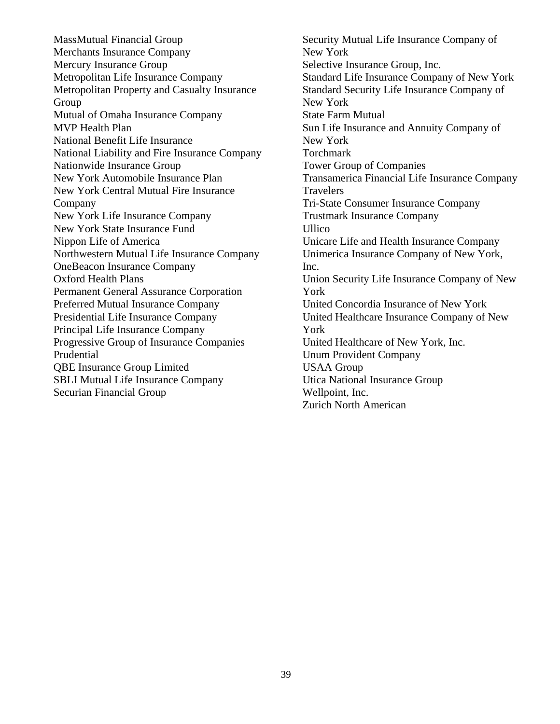MassMutual Financial Group Merchants Insurance Company Mercury Insurance Group Metropolitan Life Insurance Company Metropolitan Property and Casualty Insurance Group Mutual of Omaha Insurance Company MVP Health Plan National Benefit Life Insurance National Liability and Fire Insurance Company Nationwide Insurance Group New York Automobile Insurance Plan New York Central Mutual Fire Insurance Company New York Life Insurance Company New York State Insurance Fund Nippon Life of America Northwestern Mutual Life Insurance Company OneBeacon Insurance Company Oxford Health Plans Permanent General Assurance Corporation Preferred Mutual Insurance Company Presidential Life Insurance Company Principal Life Insurance Company Progressive Group of Insurance Companies Prudential QBE Insurance Group Limited SBLI Mutual Life Insurance Company Securian Financial Group

Security Mutual Life Insurance Company of New York Selective Insurance Group, Inc. Standard Life Insurance Company of New York Standard Security Life Insurance Company of New York State Farm Mutual Sun Life Insurance and Annuity Company of New York Torchmark Tower Group of Companies Transamerica Financial Life Insurance Company Travelers Tri-State Consumer Insurance Company Trustmark Insurance Company Ullico Unicare Life and Health Insurance Company Unimerica Insurance Company of New York, Inc. Union Security Life Insurance Company of New York United Concordia Insurance of New York United Healthcare Insurance Company of New York United Healthcare of New York, Inc. Unum Provident Company USAA Group Utica National Insurance Group Wellpoint, Inc. Zurich North American